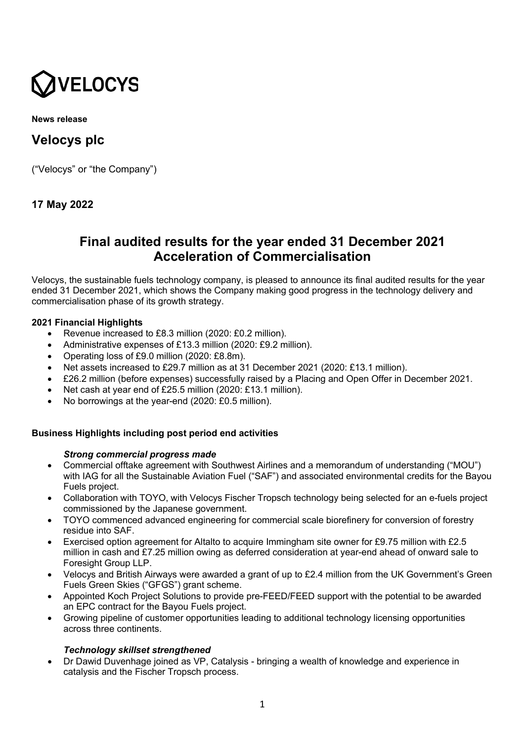

**News release**

# **Velocys plc**

("Velocys" or "the Company")

# **17 May 2022**

# **Final audited results for the year ended 31 December 2021 Acceleration of Commercialisation**

Velocys, the sustainable fuels technology company, is pleased to announce its final audited results for the year ended 31 December 2021, which shows the Company making good progress in the technology delivery and commercialisation phase of its growth strategy.

# **2021 Financial Highlights**

- Revenue increased to £8.3 million (2020: £0.2 million).
- Administrative expenses of £13.3 million (2020: £9.2 million).
- Operating loss of £9.0 million (2020: £8.8m).
- Net assets increased to £29.7 million as at 31 December 2021 (2020: £13.1 million).
- £26.2 million (before expenses) successfully raised by a Placing and Open Offer in December 2021.
- Net cash at year end of £25.5 million (2020: £13.1 million).
- No borrowings at the year-end (2020: £0.5 million).

# **Business Highlights including post period end activities**

# *Strong commercial progress made*

- Commercial offtake agreement with Southwest Airlines and a memorandum of understanding ("MOU") with IAG for all the Sustainable Aviation Fuel ("SAF") and associated environmental credits for the Bayou Fuels project.
- Collaboration with TOYO, with Velocys Fischer Tropsch technology being selected for an e-fuels project commissioned by the Japanese government.
- TOYO commenced advanced engineering for commercial scale biorefinery for conversion of forestry residue into SAF.
- Exercised option agreement for Altalto to acquire Immingham site owner for £9.75 million with £2.5 million in cash and £7.25 million owing as deferred consideration at year-end ahead of onward sale to Foresight Group LLP.
- Velocys and British Airways were awarded a grant of up to £2.4 million from the UK Government's Green Fuels Green Skies ("GFGS") grant scheme.
- Appointed Koch Project Solutions to provide pre-FEED/FEED support with the potential to be awarded an EPC contract for the Bayou Fuels project.
- Growing pipeline of customer opportunities leading to additional technology licensing opportunities across three continents.

# *Technology skillset strengthened*

• Dr Dawid Duvenhage joined as VP, Catalysis - bringing a wealth of knowledge and experience in catalysis and the Fischer Tropsch process.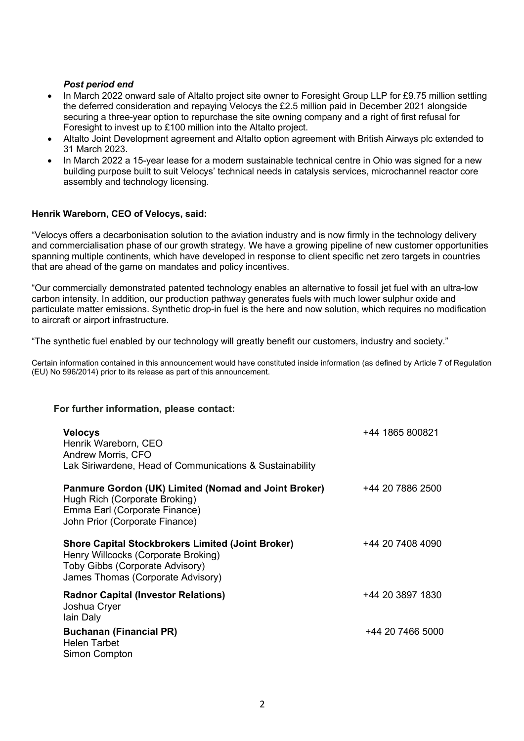# *Post period end*

- In March 2022 onward sale of Altalto project site owner to Foresight Group LLP for £9.75 million settling the deferred consideration and repaying Velocys the £2.5 million paid in December 2021 alongside securing a three-year option to repurchase the site owning company and a right of first refusal for Foresight to invest up to £100 million into the Altalto project.
- Altalto Joint Development agreement and Altalto option agreement with British Airways plc extended to 31 March 2023.
- In March 2022 a 15-year lease for a modern sustainable technical centre in Ohio was signed for a new building purpose built to suit Velocys' technical needs in catalysis services, microchannel reactor core assembly and technology licensing.

# **Henrik Wareborn, CEO of Velocys, said:**

"Velocys offers a decarbonisation solution to the aviation industry and is now firmly in the technology delivery and commercialisation phase of our growth strategy. We have a growing pipeline of new customer opportunities spanning multiple continents, which have developed in response to client specific net zero targets in countries that are ahead of the game on mandates and policy incentives.

"Our commercially demonstrated patented technology enables an alternative to fossil jet fuel with an ultra-low carbon intensity. In addition, our production pathway generates fuels with much lower sulphur oxide and particulate matter emissions. Synthetic drop-in fuel is the here and now solution, which requires no modification to aircraft or airport infrastructure.

"The synthetic fuel enabled by our technology will greatly benefit our customers, industry and society."

Certain information contained in this announcement would have constituted inside information (as defined by Article 7 of Regulation (EU) No 596/2014) prior to its release as part of this announcement.

#### **For further information, please contact:**

| <b>Velocys</b><br>Henrik Wareborn, CEO<br>Andrew Morris, CFO<br>Lak Siriwardene, Head of Communications & Sustainability                                                | +44 1865 800821  |
|-------------------------------------------------------------------------------------------------------------------------------------------------------------------------|------------------|
| Panmure Gordon (UK) Limited (Nomad and Joint Broker)<br>Hugh Rich (Corporate Broking)<br>Emma Earl (Corporate Finance)<br>John Prior (Corporate Finance)                | +44 20 7886 2500 |
| <b>Shore Capital Stockbrokers Limited (Joint Broker)</b><br>Henry Willcocks (Corporate Broking)<br>Toby Gibbs (Corporate Advisory)<br>James Thomas (Corporate Advisory) | +44 20 7408 4090 |
| <b>Radnor Capital (Investor Relations)</b><br>Joshua Cryer<br>lain Daly                                                                                                 | +44 20 3897 1830 |
| <b>Buchanan (Financial PR)</b><br><b>Helen Tarbet</b><br>Simon Compton                                                                                                  | +44 20 7466 5000 |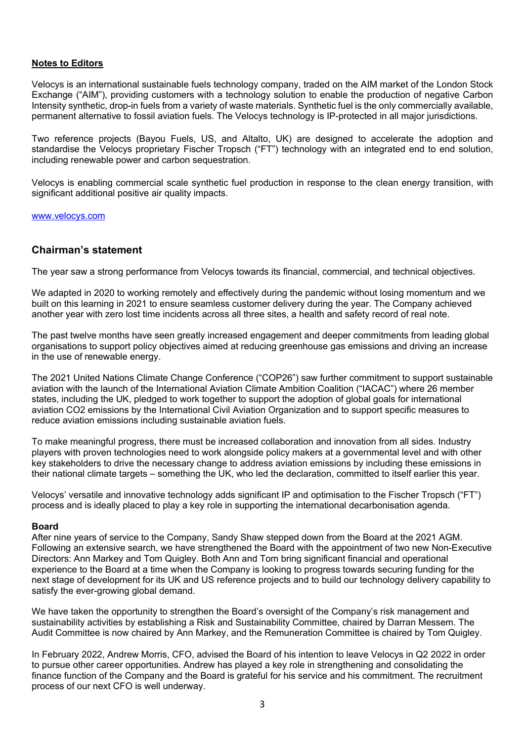#### **Notes to Editors**

Velocys is an international sustainable fuels technology company, traded on the AIM market of the London Stock Exchange ("AIM"), providing customers with a technology solution to enable the production of negative Carbon Intensity synthetic, drop-in fuels from a variety of waste materials. Synthetic fuel is the only commercially available, permanent alternative to fossil aviation fuels. The Velocys technology is IP-protected in all major jurisdictions.

Two reference projects (Bayou Fuels, US, and Altalto, UK) are designed to accelerate the adoption and standardise the Velocys proprietary Fischer Tropsch ("FT") technology with an integrated end to end solution, including renewable power and carbon sequestration.

Velocys is enabling commercial scale synthetic fuel production in response to the clean energy transition, with significant additional positive air quality impacts.

[www.velocys.com](http://www.velocys.com/)

# **Chairman's statement**

The year saw a strong performance from Velocys towards its financial, commercial, and technical objectives.

We adapted in 2020 to working remotely and effectively during the pandemic without losing momentum and we built on this learning in 2021 to ensure seamless customer delivery during the year. The Company achieved another year with zero lost time incidents across all three sites, a health and safety record of real note.

The past twelve months have seen greatly increased engagement and deeper commitments from leading global organisations to support policy objectives aimed at reducing greenhouse gas emissions and driving an increase in the use of renewable energy.

The 2021 United Nations Climate Change Conference ("COP26") saw further commitment to support sustainable aviation with the launch of the International Aviation Climate Ambition Coalition ("IACAC") where 26 member states, including the UK, pledged to work together to support the adoption of global goals for international aviation CO2 emissions by the International Civil Aviation Organization and to support specific measures to reduce aviation emissions including sustainable aviation fuels.

To make meaningful progress, there must be increased collaboration and innovation from all sides. Industry players with proven technologies need to work alongside policy makers at a governmental level and with other key stakeholders to drive the necessary change to address aviation emissions by including these emissions in their national climate targets – something the UK, who led the declaration, committed to itself earlier this year.

Velocys' versatile and innovative technology adds significant IP and optimisation to the Fischer Tropsch ("FT") process and is ideally placed to play a key role in supporting the international decarbonisation agenda.

#### **Board**

After nine years of service to the Company, Sandy Shaw stepped down from the Board at the 2021 AGM. Following an extensive search, we have strengthened the Board with the appointment of two new Non-Executive Directors: Ann Markey and Tom Quigley. Both Ann and Tom bring significant financial and operational experience to the Board at a time when the Company is looking to progress towards securing funding for the next stage of development for its UK and US reference projects and to build our technology delivery capability to satisfy the ever-growing global demand.

We have taken the opportunity to strengthen the Board's oversight of the Company's risk management and sustainability activities by establishing a Risk and Sustainability Committee, chaired by Darran Messem. The Audit Committee is now chaired by Ann Markey, and the Remuneration Committee is chaired by Tom Quigley.

In February 2022, Andrew Morris, CFO, advised the Board of his intention to leave Velocys in Q2 2022 in order to pursue other career opportunities. Andrew has played a key role in strengthening and consolidating the finance function of the Company and the Board is grateful for his service and his commitment. The recruitment process of our next CFO is well underway.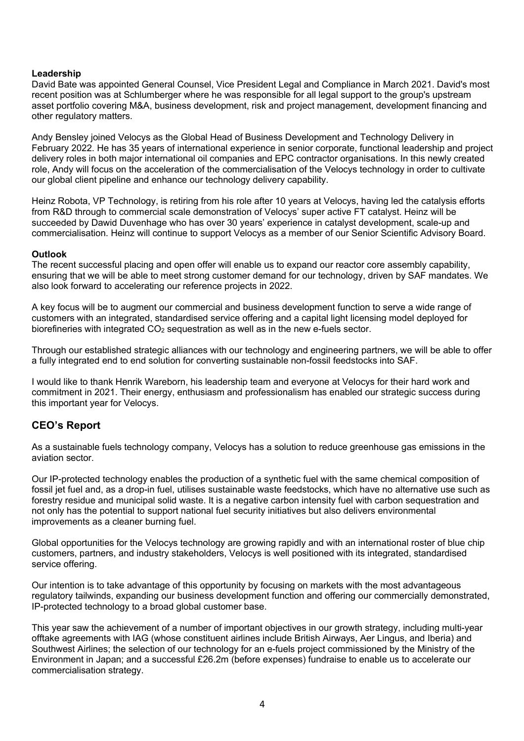# **Leadership**

David Bate was appointed General Counsel, Vice President Legal and Compliance in March 2021. David's most recent position was at Schlumberger where he was responsible for all legal support to the group's upstream asset portfolio covering M&A, business development, risk and project management, development financing and other regulatory matters.

Andy Bensley joined Velocys as the Global Head of Business Development and Technology Delivery in February 2022. He has 35 years of international experience in senior corporate, functional leadership and project delivery roles in both major international oil companies and EPC contractor organisations. In this newly created role, Andy will focus on the acceleration of the commercialisation of the Velocys technology in order to cultivate our global client pipeline and enhance our technology delivery capability.

Heinz Robota, VP Technology, is retiring from his role after 10 years at Velocys, having led the catalysis efforts from R&D through to commercial scale demonstration of Velocys' super active FT catalyst. Heinz will be succeeded by Dawid Duvenhage who has over 30 years' experience in catalyst development, scale-up and commercialisation. Heinz will continue to support Velocys as a member of our Senior Scientific Advisory Board.

#### **Outlook**

The recent successful placing and open offer will enable us to expand our reactor core assembly capability, ensuring that we will be able to meet strong customer demand for our technology, driven by SAF mandates. We also look forward to accelerating our reference projects in 2022.

A key focus will be to augment our commercial and business development function to serve a wide range of customers with an integrated, standardised service offering and a capital light licensing model deployed for biorefineries with integrated  $CO<sub>2</sub>$  sequestration as well as in the new e-fuels sector.

Through our established strategic alliances with our technology and engineering partners, we will be able to offer a fully integrated end to end solution for converting sustainable non-fossil feedstocks into SAF.

I would like to thank Henrik Wareborn, his leadership team and everyone at Velocys for their hard work and commitment in 2021. Their energy, enthusiasm and professionalism has enabled our strategic success during this important year for Velocys.

# **CEO's Report**

As a sustainable fuels technology company, Velocys has a solution to reduce greenhouse gas emissions in the aviation sector.

Our IP-protected technology enables the production of a synthetic fuel with the same chemical composition of fossil jet fuel and, as a drop-in fuel, utilises sustainable waste feedstocks, which have no alternative use such as forestry residue and municipal solid waste. It is a negative carbon intensity fuel with carbon sequestration and not only has the potential to support national fuel security initiatives but also delivers environmental improvements as a cleaner burning fuel.

Global opportunities for the Velocys technology are growing rapidly and with an international roster of blue chip customers, partners, and industry stakeholders, Velocys is well positioned with its integrated, standardised service offering.

Our intention is to take advantage of this opportunity by focusing on markets with the most advantageous regulatory tailwinds, expanding our business development function and offering our commercially demonstrated, IP-protected technology to a broad global customer base.

This year saw the achievement of a number of important objectives in our growth strategy, including multi-year offtake agreements with IAG (whose constituent airlines include British Airways, Aer Lingus, and Iberia) and Southwest Airlines; the selection of our technology for an e-fuels project commissioned by the Ministry of the Environment in Japan; and a successful £26.2m (before expenses) fundraise to enable us to accelerate our commercialisation strategy.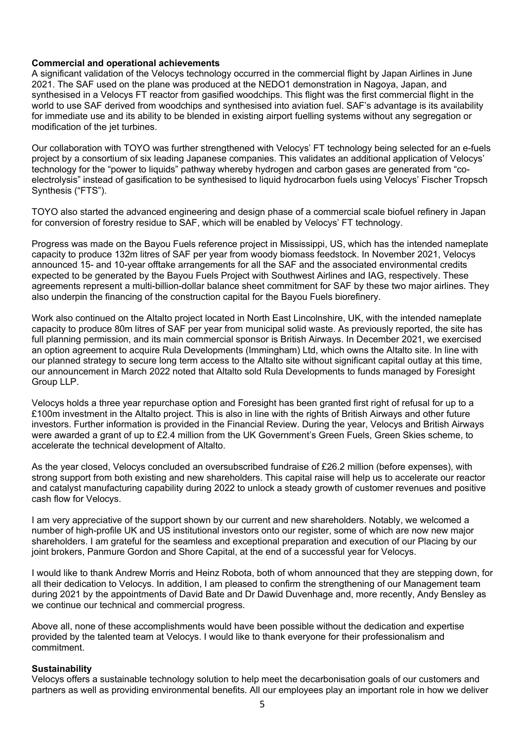#### **Commercial and operational achievements**

A significant validation of the Velocys technology occurred in the commercial flight by Japan Airlines in June 2021. The SAF used on the plane was produced at the NEDO1 demonstration in Nagoya, Japan, and synthesised in a Velocys FT reactor from gasified woodchips. This flight was the first commercial flight in the world to use SAF derived from woodchips and synthesised into aviation fuel. SAF's advantage is its availability for immediate use and its ability to be blended in existing airport fuelling systems without any segregation or modification of the jet turbines.

Our collaboration with TOYO was further strengthened with Velocys' FT technology being selected for an e-fuels project by a consortium of six leading Japanese companies. This validates an additional application of Velocys' technology for the "power to liquids" pathway whereby hydrogen and carbon gases are generated from "coelectrolysis" instead of gasification to be synthesised to liquid hydrocarbon fuels using Velocys' Fischer Tropsch Synthesis ("FTS").

TOYO also started the advanced engineering and design phase of a commercial scale biofuel refinery in Japan for conversion of forestry residue to SAF, which will be enabled by Velocys' FT technology.

Progress was made on the Bayou Fuels reference project in Mississippi, US, which has the intended nameplate capacity to produce 132m litres of SAF per year from woody biomass feedstock. In November 2021, Velocys announced 15- and 10-year offtake arrangements for all the SAF and the associated environmental credits expected to be generated by the Bayou Fuels Project with Southwest Airlines and IAG, respectively. These agreements represent a multi-billion-dollar balance sheet commitment for SAF by these two major airlines. They also underpin the financing of the construction capital for the Bayou Fuels biorefinery.

Work also continued on the Altalto project located in North East Lincolnshire, UK, with the intended nameplate capacity to produce 80m litres of SAF per year from municipal solid waste. As previously reported, the site has full planning permission, and its main commercial sponsor is British Airways. In December 2021, we exercised an option agreement to acquire Rula Developments (Immingham) Ltd, which owns the Altalto site. In line with our planned strategy to secure long term access to the Altalto site without significant capital outlay at this time, our announcement in March 2022 noted that Altalto sold Rula Developments to funds managed by Foresight Group LLP.

Velocys holds a three year repurchase option and Foresight has been granted first right of refusal for up to a £100m investment in the Altalto project. This is also in line with the rights of British Airways and other future investors. Further information is provided in the Financial Review. During the year, Velocys and British Airways were awarded a grant of up to £2.4 million from the UK Government's Green Fuels, Green Skies scheme, to accelerate the technical development of Altalto.

As the year closed, Velocys concluded an oversubscribed fundraise of £26.2 million (before expenses), with strong support from both existing and new shareholders. This capital raise will help us to accelerate our reactor and catalyst manufacturing capability during 2022 to unlock a steady growth of customer revenues and positive cash flow for Velocys.

I am very appreciative of the support shown by our current and new shareholders. Notably, we welcomed a number of high-profile UK and US institutional investors onto our register, some of which are now new major shareholders. I am grateful for the seamless and exceptional preparation and execution of our Placing by our joint brokers, Panmure Gordon and Shore Capital, at the end of a successful year for Velocys.

I would like to thank Andrew Morris and Heinz Robota, both of whom announced that they are stepping down, for all their dedication to Velocys. In addition, I am pleased to confirm the strengthening of our Management team during 2021 by the appointments of David Bate and Dr Dawid Duvenhage and, more recently, Andy Bensley as we continue our technical and commercial progress.

Above all, none of these accomplishments would have been possible without the dedication and expertise provided by the talented team at Velocys. I would like to thank everyone for their professionalism and commitment.

#### **Sustainability**

Velocys offers a sustainable technology solution to help meet the decarbonisation goals of our customers and partners as well as providing environmental benefits. All our employees play an important role in how we deliver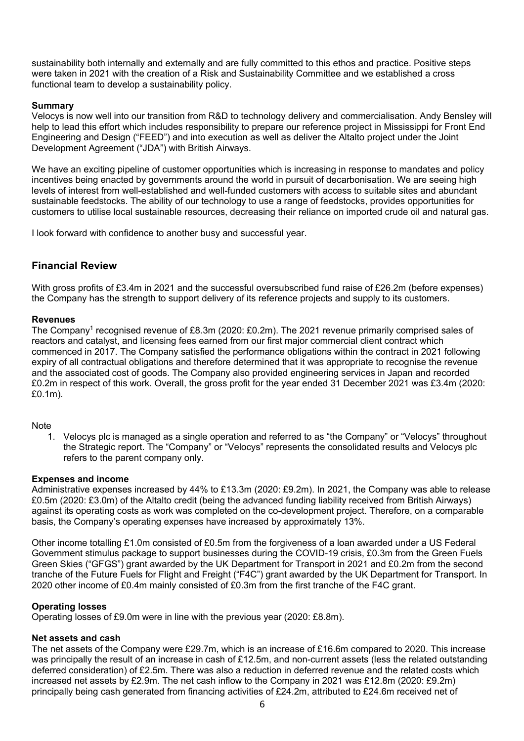sustainability both internally and externally and are fully committed to this ethos and practice. Positive steps were taken in 2021 with the creation of a Risk and Sustainability Committee and we established a cross functional team to develop a sustainability policy.

# **Summary**

Velocys is now well into our transition from R&D to technology delivery and commercialisation. Andy Bensley will help to lead this effort which includes responsibility to prepare our reference project in Mississippi for Front End Engineering and Design ("FEED") and into execution as well as deliver the Altalto project under the Joint Development Agreement ("JDA") with British Airways.

We have an exciting pipeline of customer opportunities which is increasing in response to mandates and policy incentives being enacted by governments around the world in pursuit of decarbonisation. We are seeing high levels of interest from well-established and well-funded customers with access to suitable sites and abundant sustainable feedstocks. The ability of our technology to use a range of feedstocks, provides opportunities for customers to utilise local sustainable resources, decreasing their reliance on imported crude oil and natural gas.

I look forward with confidence to another busy and successful year.

# **Financial Review**

With gross profits of £3.4m in 2021 and the successful oversubscribed fund raise of £26.2m (before expenses) the Company has the strength to support delivery of its reference projects and supply to its customers.

#### **Revenues**

The Company<sup>1</sup> recognised revenue of £8.3m (2020: £0.2m). The 2021 revenue primarily comprised sales of reactors and catalyst, and licensing fees earned from our first major commercial client contract which commenced in 2017. The Company satisfied the performance obligations within the contract in 2021 following expiry of all contractual obligations and therefore determined that it was appropriate to recognise the revenue and the associated cost of goods. The Company also provided engineering services in Japan and recorded £0.2m in respect of this work. Overall, the gross profit for the year ended 31 December 2021 was £3.4m (2020: £0.1m).

#### **Note**

1. Velocys plc is managed as a single operation and referred to as "the Company" or "Velocys" throughout the Strategic report. The "Company" or "Velocys" represents the consolidated results and Velocys plc refers to the parent company only.

#### **Expenses and income**

Administrative expenses increased by 44% to £13.3m (2020: £9.2m). In 2021, the Company was able to release £0.5m (2020: £3.0m) of the Altalto credit (being the advanced funding liability received from British Airways) against its operating costs as work was completed on the co-development project. Therefore, on a comparable basis, the Company's operating expenses have increased by approximately 13%.

Other income totalling £1.0m consisted of £0.5m from the forgiveness of a loan awarded under a US Federal Government stimulus package to support businesses during the COVID-19 crisis, £0.3m from the Green Fuels Green Skies ("GFGS") grant awarded by the UK Department for Transport in 2021 and £0.2m from the second tranche of the Future Fuels for Flight and Freight ("F4C") grant awarded by the UK Department for Transport. In 2020 other income of £0.4m mainly consisted of £0.3m from the first tranche of the F4C grant.

#### **Operating losses**

Operating losses of £9.0m were in line with the previous year (2020: £8.8m).

#### **Net assets and cash**

The net assets of the Company were £29.7m, which is an increase of £16.6m compared to 2020. This increase was principally the result of an increase in cash of £12.5m, and non-current assets (less the related outstanding deferred consideration) of £2.5m. There was also a reduction in deferred revenue and the related costs which increased net assets by £2.9m. The net cash inflow to the Company in 2021 was £12.8m (2020: £9.2m) principally being cash generated from financing activities of £24.2m, attributed to £24.6m received net of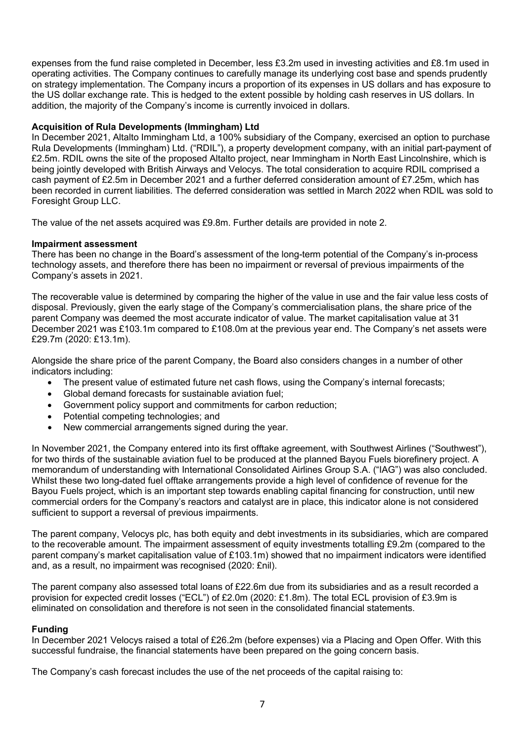expenses from the fund raise completed in December, less £3.2m used in investing activities and £8.1m used in operating activities. The Company continues to carefully manage its underlying cost base and spends prudently on strategy implementation. The Company incurs a proportion of its expenses in US dollars and has exposure to the US dollar exchange rate. This is hedged to the extent possible by holding cash reserves in US dollars. In addition, the majority of the Company's income is currently invoiced in dollars.

### **Acquisition of Rula Developments (Immingham) Ltd**

In December 2021, Altalto Immingham Ltd, a 100% subsidiary of the Company, exercised an option to purchase Rula Developments (Immingham) Ltd. ("RDIL"), a property development company, with an initial part-payment of £2.5m. RDIL owns the site of the proposed Altalto project, near Immingham in North East Lincolnshire, which is being jointly developed with British Airways and Velocys. The total consideration to acquire RDIL comprised a cash payment of £2.5m in December 2021 and a further deferred consideration amount of £7.25m, which has been recorded in current liabilities. The deferred consideration was settled in March 2022 when RDIL was sold to Foresight Group LLC.

The value of the net assets acquired was £9.8m. Further details are provided in note 2.

# **Impairment assessment**

There has been no change in the Board's assessment of the long-term potential of the Company's in-process technology assets, and therefore there has been no impairment or reversal of previous impairments of the Company's assets in 2021.

The recoverable value is determined by comparing the higher of the value in use and the fair value less costs of disposal. Previously, given the early stage of the Company's commercialisation plans, the share price of the parent Company was deemed the most accurate indicator of value. The market capitalisation value at 31 December 2021 was £103.1m compared to £108.0m at the previous year end. The Company's net assets were £29.7m (2020: £13.1m).

Alongside the share price of the parent Company, the Board also considers changes in a number of other indicators including:

- The present value of estimated future net cash flows, using the Company's internal forecasts;
- Global demand forecasts for sustainable aviation fuel;
- Government policy support and commitments for carbon reduction;
- Potential competing technologies; and
- New commercial arrangements signed during the year.

In November 2021, the Company entered into its first offtake agreement, with Southwest Airlines ("Southwest"), for two thirds of the sustainable aviation fuel to be produced at the planned Bayou Fuels biorefinery project. A memorandum of understanding with International Consolidated Airlines Group S.A. ("IAG") was also concluded. Whilst these two long-dated fuel offtake arrangements provide a high level of confidence of revenue for the Bayou Fuels project, which is an important step towards enabling capital financing for construction, until new commercial orders for the Company's reactors and catalyst are in place, this indicator alone is not considered sufficient to support a reversal of previous impairments.

The parent company, Velocys plc, has both equity and debt investments in its subsidiaries, which are compared to the recoverable amount. The impairment assessment of equity investments totalling £9.2m (compared to the parent company's market capitalisation value of £103.1m) showed that no impairment indicators were identified and, as a result, no impairment was recognised (2020: £nil).

The parent company also assessed total loans of £22.6m due from its subsidiaries and as a result recorded a provision for expected credit losses ("ECL") of £2.0m (2020: £1.8m). The total ECL provision of £3.9m is eliminated on consolidation and therefore is not seen in the consolidated financial statements.

#### **Funding**

In December 2021 Velocys raised a total of £26.2m (before expenses) via a Placing and Open Offer. With this successful fundraise, the financial statements have been prepared on the going concern basis.

The Company's cash forecast includes the use of the net proceeds of the capital raising to: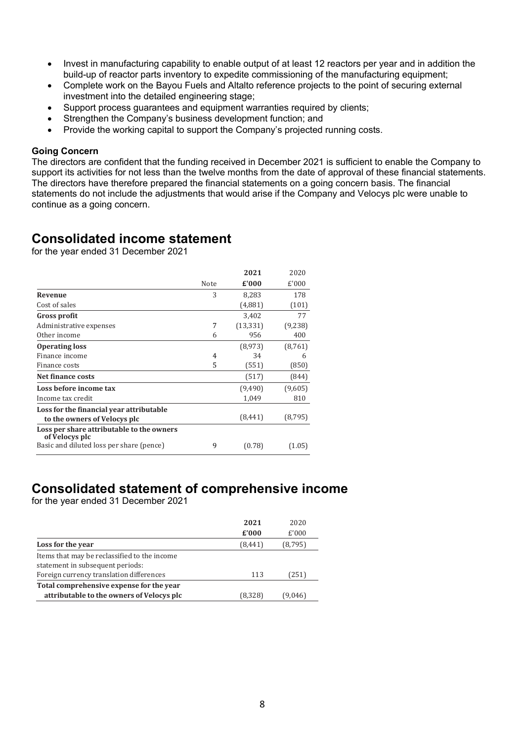- Invest in manufacturing capability to enable output of at least 12 reactors per year and in addition the build-up of reactor parts inventory to expedite commissioning of the manufacturing equipment;
- Complete work on the Bayou Fuels and Altalto reference projects to the point of securing external investment into the detailed engineering stage;
- Support process guarantees and equipment warranties required by clients;
- Strengthen the Company's business development function; and
- Provide the working capital to support the Company's projected running costs.

#### **Going Concern**

The directors are confident that the funding received in December 2021 is sufficient to enable the Company to support its activities for not less than the twelve months from the date of approval of these financial statements. The directors have therefore prepared the financial statements on a going concern basis. The financial statements do not include the adjustments that would arise if the Company and Velocys plc were unable to continue as a going concern.

# **Consolidated income statement**

for the year ended 31 December 2021

|                                                             |      | 2021      | 2020     |
|-------------------------------------------------------------|------|-----------|----------|
|                                                             | Note | £'000     | £'000    |
| <b>Revenue</b>                                              | 3    | 8,283     | 178      |
| Cost of sales                                               |      | (4,881)   | (101)    |
| Gross profit                                                |      | 3,402     | 77       |
| Administrative expenses                                     | 7    | (13, 331) | (9,238)  |
| Other income                                                | 6    | 956       | 400      |
| <b>Operating loss</b>                                       |      | (8, 973)  | (8,761)  |
| Finance income                                              | 4    | 34        | 6        |
| Finance costs                                               | 5    | (551)     | (850)    |
| Net finance costs                                           |      | (517)     | (844)    |
| Loss before income tax                                      |      | (9,490)   | (9,605)  |
| Income tax credit                                           |      | 1,049     | 810      |
| Loss for the financial year attributable                    |      |           |          |
| to the owners of Velocys plc                                |      | (8, 441)  | (8, 795) |
| Loss per share attributable to the owners<br>of Velocys plc |      |           |          |
| Basic and diluted loss per share (pence)                    | 9    | (0.78)    | (1.05)   |

# **Consolidated statement of comprehensive income**

for the year ended 31 December 2021

|                                                                                  | 2021<br>£'000 | 2020<br>£'000 |
|----------------------------------------------------------------------------------|---------------|---------------|
| Loss for the year                                                                | (8, 441)      | (8,795)       |
| Items that may be reclassified to the income<br>statement in subsequent periods: |               |               |
| Foreign currency translation differences                                         | 113           | (251)         |
| Total comprehensive expense for the year                                         |               |               |
| attributable to the owners of Velocys plc                                        | (8,328)       | (9.046)       |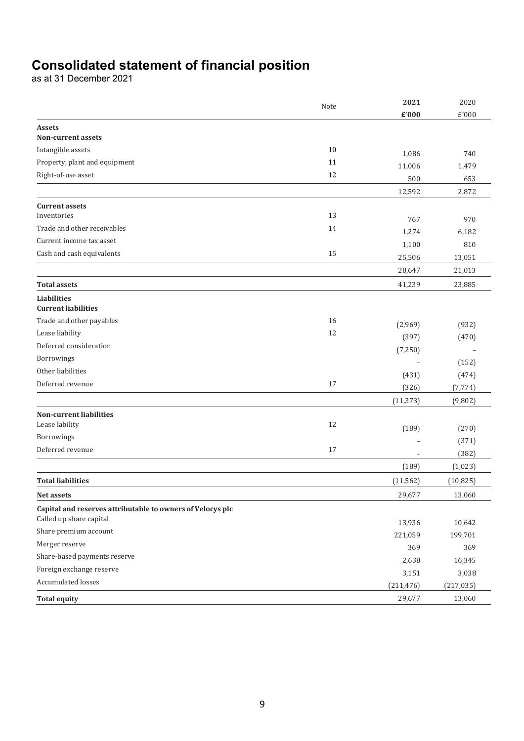# **Consolidated statement of financial position**

as at 31 December 2021

|                                                            | Note | 2021       | 2020       |
|------------------------------------------------------------|------|------------|------------|
|                                                            |      | £'000      | £'000      |
| <b>Assets</b>                                              |      |            |            |
| <b>Non-current assets</b>                                  |      |            |            |
| Intangible assets                                          | 10   | 1,086      | 740        |
| Property, plant and equipment                              | 11   | 11,006     | 1,479      |
| Right-of-use asset                                         | 12   | 500        | 653        |
|                                                            |      | 12,592     | 2,872      |
| <b>Current assets</b>                                      |      |            |            |
| Inventories                                                | 13   | 767        | 970        |
| Trade and other receivables                                | 14   | 1,274      | 6,182      |
| Current income tax asset                                   |      | 1,100      | 810        |
| Cash and cash equivalents                                  | 15   | 25,506     | 13,051     |
|                                                            |      | 28,647     | 21,013     |
| <b>Total assets</b>                                        |      | 41,239     | 23,885     |
| <b>Liabilities</b>                                         |      |            |            |
| <b>Current liabilities</b>                                 |      |            |            |
| Trade and other payables                                   | 16   | (2,969)    | (932)      |
| Lease liability                                            | 12   | (397)      | (470)      |
| Deferred consideration                                     |      | (7, 250)   |            |
| Borrowings                                                 |      |            | (152)      |
| Other liabilities                                          |      | (431)      | (474)      |
| Deferred revenue                                           | 17   | (326)      | (7, 774)   |
|                                                            |      | (11, 373)  | (9,802)    |
| Non-current liabilities                                    |      |            |            |
| Lease lability                                             | 12   | (189)      | (270)      |
| Borrowings                                                 |      |            | (371)      |
| Deferred revenue                                           | 17   |            | (382)      |
|                                                            |      | (189)      | (1,023)    |
| <b>Total liabilities</b>                                   |      | (11, 562)  | (10, 825)  |
| Net assets                                                 |      | 29,677     | 13,060     |
| Capital and reserves attributable to owners of Velocys plc |      |            |            |
| Called up share capital                                    |      | 13,936     | 10,642     |
| Share premium account                                      |      | 221,059    | 199,701    |
| Merger reserve                                             |      | 369        | 369        |
| Share-based payments reserve                               |      | 2,638      | 16,345     |
| Foreign exchange reserve                                   |      | 3,151      | 3,038      |
| Accumulated losses                                         |      | (211, 476) | (217, 035) |
| <b>Total equity</b>                                        |      | 29,677     | 13,060     |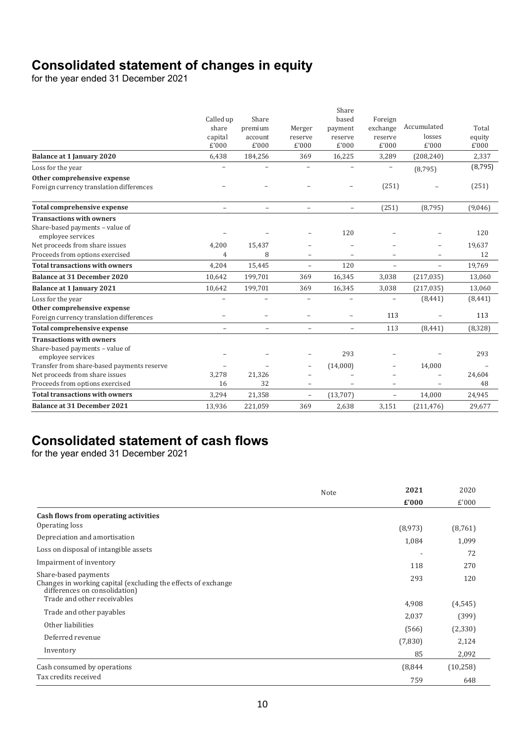# **Consolidated statement of changes in equity**

for the year ended 31 December 2021

|                                                      |                          |                          |                          | Share                    |                          |                          |          |
|------------------------------------------------------|--------------------------|--------------------------|--------------------------|--------------------------|--------------------------|--------------------------|----------|
|                                                      | Called up                | Share                    |                          | based                    | Foreign                  |                          |          |
|                                                      | share                    | premium                  | Merger                   | payment                  | exchange                 | Accumulated              | Total    |
|                                                      | capital                  | account                  | reserve                  | reserve                  | reserve                  | losses                   | equity   |
|                                                      | £'000                    | £'000                    | £'000                    | £'000                    | £'000                    | £'000                    | £'000    |
| <b>Balance at 1 January 2020</b>                     | 6,438                    | 184,256                  | 369                      | 16,225                   | 3,289                    | (208, 240)               | 2,337    |
| Loss for the year                                    |                          |                          |                          |                          |                          | (8, 795)                 | (8, 795) |
| Other comprehensive expense                          |                          |                          |                          |                          |                          |                          |          |
| Foreign currency translation differences             |                          |                          |                          |                          | (251)                    |                          | (251)    |
| <b>Total comprehensive expense</b>                   |                          | $\overline{\phantom{0}}$ | ÷,                       | $\equiv$                 | (251)                    | (8, 795)                 | (9,046)  |
| <b>Transactions with owners</b>                      |                          |                          |                          |                          |                          |                          |          |
| Share-based payments - value of<br>employee services |                          |                          |                          | 120                      |                          |                          | 120      |
| Net proceeds from share issues                       | 4,200                    | 15,437                   |                          |                          |                          | $\qquad \qquad -$        | 19,637   |
| Proceeds from options exercised                      | 4                        | 8                        | $\equiv$                 |                          |                          |                          | 12       |
| <b>Total transactions with owners</b>                | 4,204                    | 15,445                   | $\overline{\phantom{m}}$ | 120                      | $\overline{\phantom{m}}$ | $\overline{\phantom{a}}$ | 19,769   |
| <b>Balance at 31 December 2020</b>                   | 10,642                   | 199,701                  | 369                      | 16,345                   | 3,038                    | (217, 035)               | 13,060   |
| Balance at 1 January 2021                            | 10,642                   | 199,701                  | 369                      | 16,345                   | 3,038                    | (217, 035)               | 13,060   |
| Loss for the year                                    |                          | $\equiv$                 | ÷,                       | $\overline{a}$           | $\equiv$                 | (8, 441)                 | (8, 441) |
| Other comprehensive expense                          |                          |                          |                          |                          |                          |                          |          |
| Foreign currency translation differences             |                          | $\equiv$                 |                          | $\overline{\phantom{0}}$ | 113                      |                          | 113      |
| <b>Total comprehensive expense</b>                   | $\overline{\phantom{0}}$ | $\overline{\phantom{m}}$ | $\equiv$                 | $\equiv$                 | 113                      | (8, 441)                 | (8, 328) |
| <b>Transactions with owners</b>                      |                          |                          |                          |                          |                          |                          |          |
| Share-based payments - value of                      |                          |                          |                          | 293                      |                          |                          | 293      |
| employee services                                    |                          |                          |                          |                          |                          |                          |          |
| Transfer from share-based payments reserve           |                          |                          | $\qquad \qquad -$        | (14,000)                 | -                        | 14,000                   |          |
| Net proceeds from share issues                       | 3,278                    | 21,326                   |                          |                          |                          | $\equiv$                 | 24,604   |
| Proceeds from options exercised                      | 16                       | 32                       | $\overline{\phantom{0}}$ |                          | $\overline{\phantom{0}}$ |                          | 48       |
| <b>Total transactions with owners</b>                | 3,294                    | 21,358                   | $\overline{\phantom{a}}$ | (13,707)                 | $\overline{\phantom{0}}$ | 14,000                   | 24,945   |
| <b>Balance at 31 December 2021</b>                   | 13,936                   | 221,059                  | 369                      | 2,638                    | 3,151                    | (211, 476)               | 29,677   |

# **Consolidated statement of cash flows**

for the year ended 31 December 2021

|                                                                                                                        | Note | 2021    | 2020      |
|------------------------------------------------------------------------------------------------------------------------|------|---------|-----------|
|                                                                                                                        |      | £'000   | £'000     |
| Cash flows from operating activities                                                                                   |      |         |           |
| Operating loss                                                                                                         |      | (8,973) | (8,761)   |
| Depreciation and amortisation                                                                                          |      | 1,084   | 1,099     |
| Loss on disposal of intangible assets                                                                                  |      |         | 72        |
| Impairment of inventory                                                                                                |      | 118     | 270       |
| Share-based payments<br>Changes in working capital (excluding the effects of exchange<br>differences on consolidation) |      | 293     | 120       |
| Trade and other receivables                                                                                            |      | 4,908   | (4, 545)  |
| Trade and other payables                                                                                               |      | 2,037   | (399)     |
| Other liabilities                                                                                                      |      | (566)   | (2,330)   |
| Deferred revenue                                                                                                       |      | (7,830) | 2,124     |
| Inventory                                                                                                              |      | 85      | 2,092     |
| Cash consumed by operations                                                                                            |      | (8,844) | (10, 258) |
| Tax credits received                                                                                                   |      | 759     | 648       |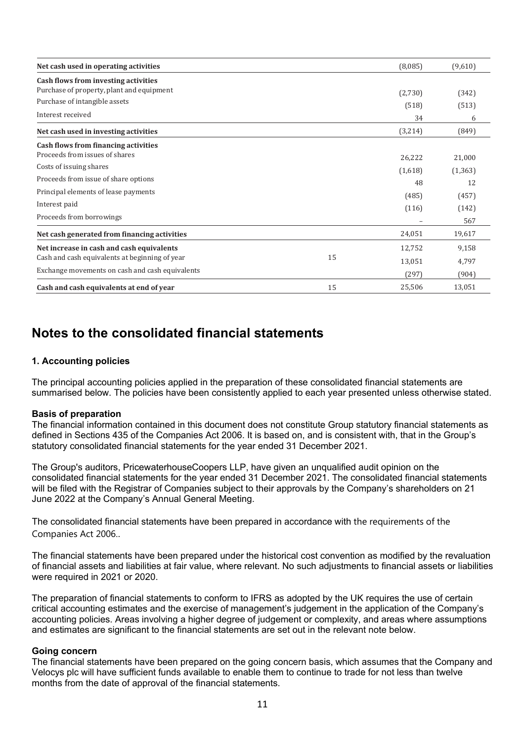| Net cash used in operating activities                                             |    | (8,085) | (9,610)  |
|-----------------------------------------------------------------------------------|----|---------|----------|
| Cash flows from investing activities<br>Purchase of property, plant and equipment |    |         |          |
|                                                                                   |    | (2,730) | (342)    |
| Purchase of intangible assets                                                     |    | (518)   | (513)    |
| Interest received                                                                 |    | 34      | 6        |
| Net cash used in investing activities                                             |    | (3,214) | (849)    |
| Cash flows from financing activities                                              |    |         |          |
| Proceeds from issues of shares                                                    |    | 26,222  | 21,000   |
| Costs of issuing shares                                                           |    | (1,618) | (1, 363) |
| Proceeds from issue of share options                                              |    | 48      | 12       |
| Principal elements of lease payments                                              |    | (485)   | (457)    |
| Interest paid                                                                     |    | (116)   | (142)    |
| Proceeds from borrowings                                                          |    |         | 567      |
| Net cash generated from financing activities                                      |    | 24,051  | 19,617   |
| Net increase in cash and cash equivalents                                         |    | 12,752  | 9,158    |
| Cash and cash equivalents at beginning of year                                    | 15 | 13,051  | 4,797    |
| Exchange movements on cash and cash equivalents                                   |    | (297)   | (904)    |
| Cash and cash equivalents at end of year                                          | 15 | 25,506  | 13,051   |

# **Notes to the consolidated financial statements**

# **1. Accounting policies**

The principal accounting policies applied in the preparation of these consolidated financial statements are summarised below. The policies have been consistently applied to each year presented unless otherwise stated.

#### **Basis of preparation**

The financial information contained in this document does not constitute Group statutory financial statements as defined in Sections 435 of the Companies Act 2006. It is based on, and is consistent with, that in the Group's statutory consolidated financial statements for the year ended 31 December 2021.

The Group's auditors, PricewaterhouseCoopers LLP, have given an unqualified audit opinion on the consolidated financial statements for the year ended 31 December 2021. The consolidated financial statements will be filed with the Registrar of Companies subject to their approvals by the Company's shareholders on 21 June 2022 at the Company's Annual General Meeting.

The consolidated financial statements have been prepared in accordance with the requirements of the Companies Act 2006..

The financial statements have been prepared under the historical cost convention as modified by the revaluation of financial assets and liabilities at fair value, where relevant. No such adjustments to financial assets or liabilities were required in 2021 or 2020.

The preparation of financial statements to conform to IFRS as adopted by the UK requires the use of certain critical accounting estimates and the exercise of management's judgement in the application of the Company's accounting policies. Areas involving a higher degree of judgement or complexity, and areas where assumptions and estimates are significant to the financial statements are set out in the relevant note below.

#### **Going concern**

The financial statements have been prepared on the going concern basis, which assumes that the Company and Velocys plc will have sufficient funds available to enable them to continue to trade for not less than twelve months from the date of approval of the financial statements.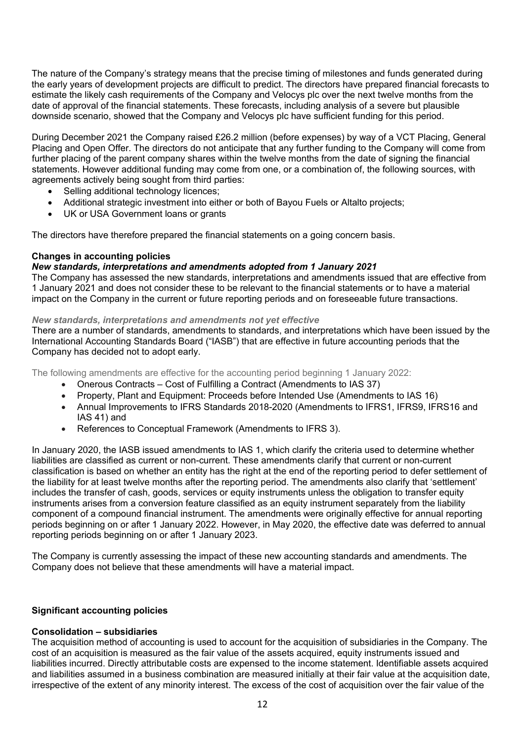The nature of the Company's strategy means that the precise timing of milestones and funds generated during the early years of development projects are difficult to predict. The directors have prepared financial forecasts to estimate the likely cash requirements of the Company and Velocys plc over the next twelve months from the date of approval of the financial statements. These forecasts, including analysis of a severe but plausible downside scenario, showed that the Company and Velocys plc have sufficient funding for this period.

During December 2021 the Company raised £26.2 million (before expenses) by way of a VCT Placing, General Placing and Open Offer. The directors do not anticipate that any further funding to the Company will come from further placing of the parent company shares within the twelve months from the date of signing the financial statements. However additional funding may come from one, or a combination of, the following sources, with agreements actively being sought from third parties:

- Selling additional technology licences;
- Additional strategic investment into either or both of Bayou Fuels or Altalto projects;
- UK or USA Government loans or grants

The directors have therefore prepared the financial statements on a going concern basis.

#### **Changes in accounting policies**

# *New standards, interpretations and amendments adopted from 1 January 2021*

The Company has assessed the new standards, interpretations and amendments issued that are effective from 1 January 2021 and does not consider these to be relevant to the financial statements or to have a material impact on the Company in the current or future reporting periods and on foreseeable future transactions.

#### *New standards, interpretations and amendments not yet effective*

There are a number of standards, amendments to standards, and interpretations which have been issued by the International Accounting Standards Board ("IASB") that are effective in future accounting periods that the Company has decided not to adopt early.

The following amendments are effective for the accounting period beginning 1 January 2022:

- Onerous Contracts Cost of Fulfilling a Contract (Amendments to IAS 37)
- Property, Plant and Equipment: Proceeds before Intended Use (Amendments to IAS 16)
- Annual Improvements to IFRS Standards 2018-2020 (Amendments to IFRS1, IFRS9, IFRS16 and IAS 41) and
- References to Conceptual Framework (Amendments to IFRS 3).

In January 2020, the IASB issued amendments to IAS 1, which clarify the criteria used to determine whether liabilities are classified as current or non-current. These amendments clarify that current or non-current classification is based on whether an entity has the right at the end of the reporting period to defer settlement of the liability for at least twelve months after the reporting period. The amendments also clarify that 'settlement' includes the transfer of cash, goods, services or equity instruments unless the obligation to transfer equity instruments arises from a conversion feature classified as an equity instrument separately from the liability component of a compound financial instrument. The amendments were originally effective for annual reporting periods beginning on or after 1 January 2022. However, in May 2020, the effective date was deferred to annual reporting periods beginning on or after 1 January 2023.

The Company is currently assessing the impact of these new accounting standards and amendments. The Company does not believe that these amendments will have a material impact.

#### **Significant accounting policies**

#### **Consolidation – subsidiaries**

The acquisition method of accounting is used to account for the acquisition of subsidiaries in the Company. The cost of an acquisition is measured as the fair value of the assets acquired, equity instruments issued and liabilities incurred. Directly attributable costs are expensed to the income statement. Identifiable assets acquired and liabilities assumed in a business combination are measured initially at their fair value at the acquisition date, irrespective of the extent of any minority interest. The excess of the cost of acquisition over the fair value of the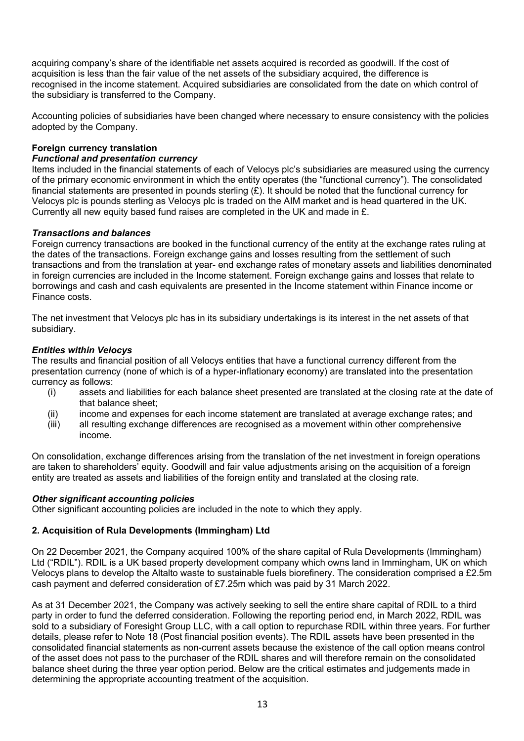acquiring company's share of the identifiable net assets acquired is recorded as goodwill. If the cost of acquisition is less than the fair value of the net assets of the subsidiary acquired, the difference is recognised in the income statement. Acquired subsidiaries are consolidated from the date on which control of the subsidiary is transferred to the Company.

Accounting policies of subsidiaries have been changed where necessary to ensure consistency with the policies adopted by the Company.

# **Foreign currency translation**

### *Functional and presentation currency*

Items included in the financial statements of each of Velocys plc's subsidiaries are measured using the currency of the primary economic environment in which the entity operates (the "functional currency"). The consolidated financial statements are presented in pounds sterling  $(E)$ . It should be noted that the functional currency for Velocys plc is pounds sterling as Velocys plc is traded on the AIM market and is head quartered in the UK. Currently all new equity based fund raises are completed in the UK and made in £.

# *Transactions and balances*

Foreign currency transactions are booked in the functional currency of the entity at the exchange rates ruling at the dates of the transactions. Foreign exchange gains and losses resulting from the settlement of such transactions and from the translation at year- end exchange rates of monetary assets and liabilities denominated in foreign currencies are included in the Income statement. Foreign exchange gains and losses that relate to borrowings and cash and cash equivalents are presented in the Income statement within Finance income or Finance costs.

The net investment that Velocys plc has in its subsidiary undertakings is its interest in the net assets of that subsidiary.

# *Entities within Velocys*

The results and financial position of all Velocys entities that have a functional currency different from the presentation currency (none of which is of a hyper-inflationary economy) are translated into the presentation currency as follows:

- (i) assets and liabilities for each balance sheet presented are translated at the closing rate at the date of that balance sheet;
- (ii) income and expenses for each income statement are translated at average exchange rates; and
- (iii) all resulting exchange differences are recognised as a movement within other comprehensive income.

On consolidation, exchange differences arising from the translation of the net investment in foreign operations are taken to shareholders' equity. Goodwill and fair value adjustments arising on the acquisition of a foreign entity are treated as assets and liabilities of the foreign entity and translated at the closing rate.

#### *Other significant accounting policies*

Other significant accounting policies are included in the note to which they apply.

# **2. Acquisition of Rula Developments (Immingham) Ltd**

On 22 December 2021, the Company acquired 100% of the share capital of Rula Developments (Immingham) Ltd ("RDIL"). RDIL is a UK based property development company which owns land in Immingham, UK on which Velocys plans to develop the Altalto waste to sustainable fuels biorefinery. The consideration comprised a £2.5m cash payment and deferred consideration of £7.25m which was paid by 31 March 2022.

As at 31 December 2021, the Company was actively seeking to sell the entire share capital of RDIL to a third party in order to fund the deferred consideration. Following the reporting period end, in March 2022, RDIL was sold to a subsidiary of Foresight Group LLC, with a call option to repurchase RDIL within three years. For further details, please refer to Note 18 (Post financial position events). The RDIL assets have been presented in the consolidated financial statements as non-current assets because the existence of the call option means control of the asset does not pass to the purchaser of the RDIL shares and will therefore remain on the consolidated balance sheet during the three year option period. Below are the critical estimates and judgements made in determining the appropriate accounting treatment of the acquisition.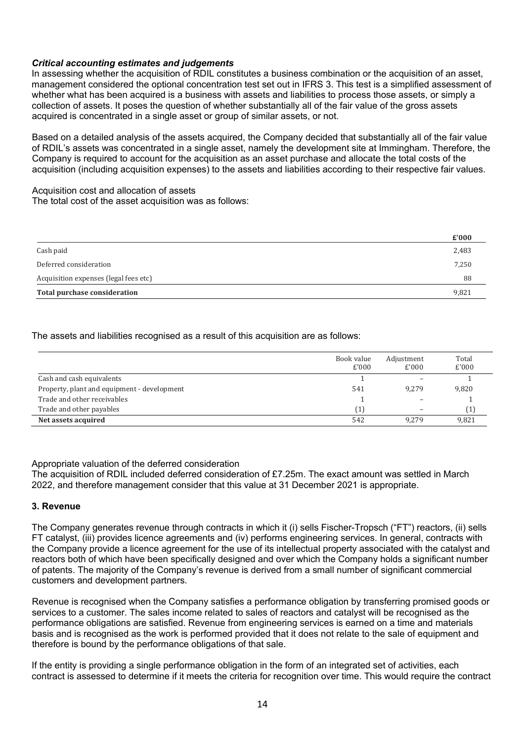# *Critical accounting estimates and judgements*

In assessing whether the acquisition of RDIL constitutes a business combination or the acquisition of an asset, management considered the optional concentration test set out in IFRS 3. This test is a simplified assessment of whether what has been acquired is a business with assets and liabilities to process those assets, or simply a collection of assets. It poses the question of whether substantially all of the fair value of the gross assets acquired is concentrated in a single asset or group of similar assets, or not.

Based on a detailed analysis of the assets acquired, the Company decided that substantially all of the fair value of RDIL's assets was concentrated in a single asset, namely the development site at Immingham. Therefore, the Company is required to account for the acquisition as an asset purchase and allocate the total costs of the acquisition (including acquisition expenses) to the assets and liabilities according to their respective fair values.

Acquisition cost and allocation of assets The total cost of the asset acquisition was as follows:

|                                       | $\boldsymbol{\mathsf{E}}'$ 000 |
|---------------------------------------|--------------------------------|
| Cash paid                             | 2,483                          |
| Deferred consideration                | 7,250                          |
| Acquisition expenses (legal fees etc) | 88                             |
| Total purchase consideration          | 9,821                          |

# The assets and liabilities recognised as a result of this acquisition are as follows:

|                                             | Book value<br>E'000 | Adjustment<br>E'000 | Total<br>£'000 |
|---------------------------------------------|---------------------|---------------------|----------------|
| Cash and cash equivalents                   |                     |                     |                |
| Property, plant and equipment - development | 541                 | 9.279               | 9,820          |
| Trade and other receivables                 |                     |                     |                |
| Trade and other payables                    | $\mathbf{1}$        |                     |                |
| Net assets acquired                         | 542                 | 9.279               | 9,821          |

#### Appropriate valuation of the deferred consideration

The acquisition of RDIL included deferred consideration of £7.25m. The exact amount was settled in March 2022, and therefore management consider that this value at 31 December 2021 is appropriate.

#### **3. Revenue**

The Company generates revenue through contracts in which it (i) sells Fischer-Tropsch ("FT") reactors, (ii) sells FT catalyst, (iii) provides licence agreements and (iv) performs engineering services. In general, contracts with the Company provide a licence agreement for the use of its intellectual property associated with the catalyst and reactors both of which have been specifically designed and over which the Company holds a significant number of patents. The majority of the Company's revenue is derived from a small number of significant commercial customers and development partners.

Revenue is recognised when the Company satisfies a performance obligation by transferring promised goods or services to a customer. The sales income related to sales of reactors and catalyst will be recognised as the performance obligations are satisfied. Revenue from engineering services is earned on a time and materials basis and is recognised as the work is performed provided that it does not relate to the sale of equipment and therefore is bound by the performance obligations of that sale.

If the entity is providing a single performance obligation in the form of an integrated set of activities, each contract is assessed to determine if it meets the criteria for recognition over time. This would require the contract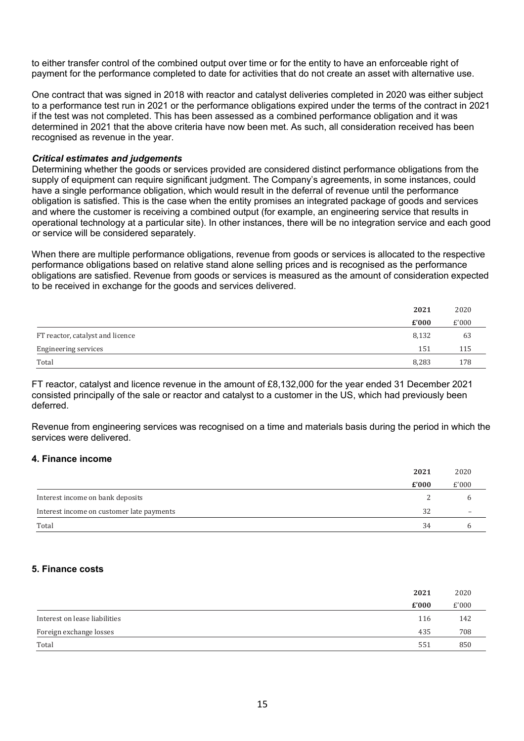to either transfer control of the combined output over time or for the entity to have an enforceable right of payment for the performance completed to date for activities that do not create an asset with alternative use.

One contract that was signed in 2018 with reactor and catalyst deliveries completed in 2020 was either subject to a performance test run in 2021 or the performance obligations expired under the terms of the contract in 2021 if the test was not completed. This has been assessed as a combined performance obligation and it was determined in 2021 that the above criteria have now been met. As such, all consideration received has been recognised as revenue in the year.

#### *Critical estimates and judgements*

Determining whether the goods or services provided are considered distinct performance obligations from the supply of equipment can require significant judgment. The Company's agreements, in some instances, could have a single performance obligation, which would result in the deferral of revenue until the performance obligation is satisfied. This is the case when the entity promises an integrated package of goods and services and where the customer is receiving a combined output (for example, an engineering service that results in operational technology at a particular site). In other instances, there will be no integration service and each good or service will be considered separately.

When there are multiple performance obligations, revenue from goods or services is allocated to the respective performance obligations based on relative stand alone selling prices and is recognised as the performance obligations are satisfied. Revenue from goods or services is measured as the amount of consideration expected to be received in exchange for the goods and services delivered.

|                                  | 2021  | 2020  |
|----------------------------------|-------|-------|
|                                  | £'000 | £'000 |
| FT reactor, catalyst and licence | 8,132 | 63    |
| <b>Engineering services</b>      | 151   | 115   |
| Total                            | 8,283 | 178   |

FT reactor, catalyst and licence revenue in the amount of £8,132,000 for the year ended 31 December 2021 consisted principally of the sale or reactor and catalyst to a customer in the US, which had previously been deferred.

Revenue from engineering services was recognised on a time and materials basis during the period in which the services were delivered.

#### **4. Finance income**

|                                           | 2021                        | 2020                     |
|-------------------------------------------|-----------------------------|--------------------------|
|                                           | $\boldsymbol{\pounds}$ '000 | £'000                    |
| Interest income on bank deposits          |                             |                          |
| Interest income on customer late payments | 32                          | $\overline{\phantom{0}}$ |
| Total                                     | 34                          |                          |

#### **5. Finance costs**

|                               | 2021  | 2020  |
|-------------------------------|-------|-------|
|                               | £'000 | £'000 |
| Interest on lease liabilities | 116   | 142   |
| Foreign exchange losses       | 435   | 708   |
| Total                         | 551   | 850   |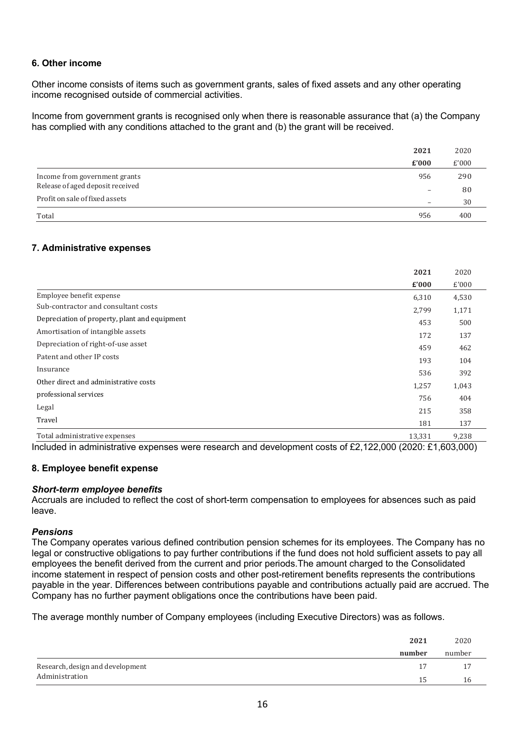# **6. Other income**

Other income consists of items such as government grants, sales of fixed assets and any other operating income recognised outside of commercial activities.

Income from government grants is recognised only when there is reasonable assurance that (a) the Company has complied with any conditions attached to the grant and (b) the grant will be received.

|                                  | 2021                     | 2020  |
|----------------------------------|--------------------------|-------|
|                                  | £'000                    | £'000 |
| Income from government grants    | 956                      | 290   |
| Release of aged deposit received | $\overline{\phantom{0}}$ | 80    |
| Profit on sale of fixed assets   | $\overline{\phantom{0}}$ | 30    |
| Total                            | 956                      | 400   |

# **7. Administrative expenses**

|                                                                 | 2021   | 2020  |
|-----------------------------------------------------------------|--------|-------|
|                                                                 | £'000  | £'000 |
| Employee benefit expense                                        | 6,310  | 4,530 |
| Sub-contractor and consultant costs                             | 2,799  | 1,171 |
| Depreciation of property, plant and equipment                   | 453    | 500   |
| Amortisation of intangible assets                               | 172    | 137   |
| Depreciation of right-of-use asset                              | 459    | 462   |
| Patent and other IP costs                                       | 193    | 104   |
| Insurance                                                       | 536    | 392   |
| Other direct and administrative costs                           | 1,257  | 1,043 |
| professional services                                           | 756    | 404   |
| Legal                                                           | 215    | 358   |
| Travel                                                          | 181    | 137   |
| Total administrative expenses<br>.<br>$\sim$ $\sim$<br>$\cdots$ | 13,331 | 9,238 |

Included in administrative expenses were research and development costs of £2,122,000 (2020: £1,603,000)

### **8. Employee benefit expense**

#### *Short-term employee benefits*

Accruals are included to reflect the cost of short-term compensation to employees for absences such as paid leave.

#### *Pensions*

The Company operates various defined contribution pension schemes for its employees. The Company has no legal or constructive obligations to pay further contributions if the fund does not hold sufficient assets to pay all employees the benefit derived from the current and prior periods.The amount charged to the Consolidated income statement in respect of pension costs and other post-retirement benefits represents the contributions payable in the year. Differences between contributions payable and contributions actually paid are accrued. The Company has no further payment obligations once the contributions have been paid.

The average monthly number of Company employees (including Executive Directors) was as follows.

|                                  | 2021   | 2020   |
|----------------------------------|--------|--------|
|                                  | number | number |
| Research, design and development | 17     |        |
| Administration                   | 15     | 16     |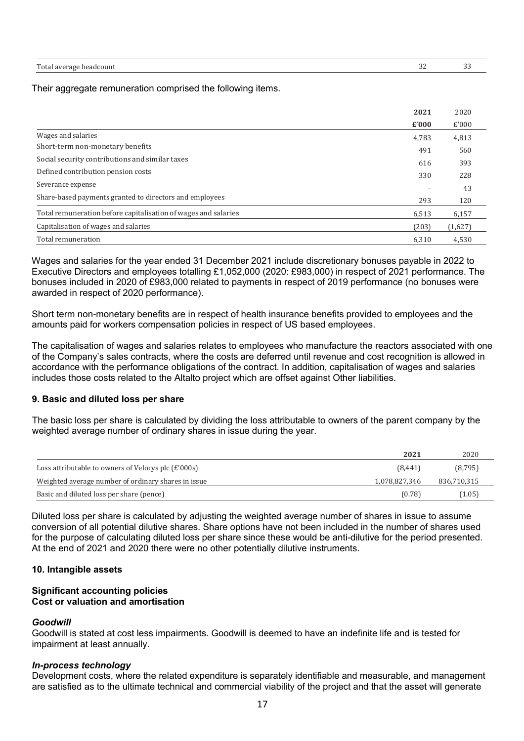| Total.<br>$\sim$ $\sim$ $\sim$ $\sim$ $\sim$<br>l average headcount | $\sim$<br>ے ر<br>$\sim$ | $\sim$<br>ັບ |
|---------------------------------------------------------------------|-------------------------|--------------|
|                                                                     |                         |              |

Their aggregate remuneration comprised the following items.

|                                                                | 2021  | 2020    |
|----------------------------------------------------------------|-------|---------|
|                                                                | £'000 | £'000   |
| Wages and salaries                                             | 4,783 | 4,813   |
| Short-term non-monetary benefits                               | 491   | 560     |
| Social security contributions and similar taxes                | 616   | 393     |
| Defined contribution pension costs                             | 330   | 228     |
| Severance expense                                              |       | 43      |
| Share-based payments granted to directors and employees        | 293   | 120     |
| Total remuneration before capitalisation of wages and salaries | 6,513 | 6,157   |
| Capitalisation of wages and salaries                           | (203) | (1,627) |
| Total remuneration                                             | 6,310 | 4,530   |

Wages and salaries for the year ended 31 December 2021 include discretionary bonuses payable in 2022 to Executive Directors and employees totalling £1,052,000 (2020: £983,000) in respect of 2021 performance. The bonuses included in 2020 of £983,000 related to payments in respect of 2019 performance (no bonuses were awarded in respect of 2020 performance).

Short term non-monetary benefits are in respect of health insurance benefits provided to employees and the amounts paid for workers compensation policies in respect of US based employees.

The capitalisation of wages and salaries relates to employees who manufacture the reactors associated with one of the Company's sales contracts, where the costs are deferred until revenue and cost recognition is allowed in accordance with the performance obligations of the contract. In addition, capitalisation of wages and salaries includes those costs related to the Altalto project which are offset against Other liabilities.

#### **9. Basic and diluted loss per share**

The basic loss per share is calculated by dividing the loss attributable to owners of the parent company by the weighted average number of ordinary shares in issue during the year.

|                                                     | 2021          | 2020        |
|-----------------------------------------------------|---------------|-------------|
| Loss attributable to owners of Velocys plc (£'000s) | (8, 441)      | (8,795)     |
| Weighted average number of ordinary shares in issue | 1,078,827,346 | 836,710,315 |
| Basic and diluted loss per share (pence)            | (0.78)        | (1.05)      |

Diluted loss per share is calculated by adjusting the weighted average number of shares in issue to assume conversion of all potential dilutive shares. Share options have not been included in the number of shares used for the purpose of calculating diluted loss per share since these would be anti-dilutive for the period presented. At the end of 2021 and 2020 there were no other potentially dilutive instruments.

#### **10. Intangible assets**

#### **Significant accounting policies Cost or valuation and amortisation**

#### *Goodwill*

Goodwill is stated at cost less impairments. Goodwill is deemed to have an indefinite life and is tested for impairment at least annually.

#### *In-process technology*

Development costs, where the related expenditure is separately identifiable and measurable, and management are satisfied as to the ultimate technical and commercial viability of the project and that the asset will generate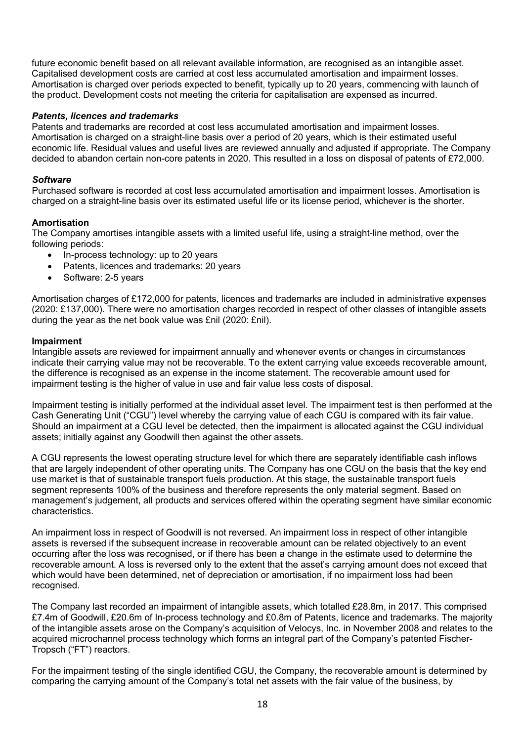future economic benefit based on all relevant available information, are recognised as an intangible asset. Capitalised development costs are carried at cost less accumulated amortisation and impairment losses. Amortisation is charged over periods expected to benefit, typically up to 20 years, commencing with launch of the product. Development costs not meeting the criteria for capitalisation are expensed as incurred.

# *Patents, licences and trademarks*

Patents and trademarks are recorded at cost less accumulated amortisation and impairment losses. Amortisation is charged on a straight-line basis over a period of 20 years, which is their estimated useful economic life. Residual values and useful lives are reviewed annually and adjusted if appropriate. The Company decided to abandon certain non-core patents in 2020. This resulted in a loss on disposal of patents of £72,000.

#### *Software*

Purchased software is recorded at cost less accumulated amortisation and impairment losses. Amortisation is charged on a straight-line basis over its estimated useful life or its license period, whichever is the shorter.

# **Amortisation**

The Company amortises intangible assets with a limited useful life, using a straight-line method, over the following periods:

- In-process technology: up to 20 years
- Patents, licences and trademarks: 20 years
- Software: 2-5 years

Amortisation charges of £172,000 for patents, licences and trademarks are included in administrative expenses (2020: £137,000). There were no amortisation charges recorded in respect of other classes of intangible assets during the year as the net book value was £nil (2020: £nil).

#### **Impairment**

Intangible assets are reviewed for impairment annually and whenever events or changes in circumstances indicate their carrying value may not be recoverable. To the extent carrying value exceeds recoverable amount, the difference is recognised as an expense in the income statement. The recoverable amount used for impairment testing is the higher of value in use and fair value less costs of disposal.

Impairment testing is initially performed at the individual asset level. The impairment test is then performed at the Cash Generating Unit ("CGU") level whereby the carrying value of each CGU is compared with its fair value. Should an impairment at a CGU level be detected, then the impairment is allocated against the CGU individual assets; initially against any Goodwill then against the other assets.

A CGU represents the lowest operating structure level for which there are separately identifiable cash inflows that are largely independent of other operating units. The Company has one CGU on the basis that the key end use market is that of sustainable transport fuels production. At this stage, the sustainable transport fuels segment represents 100% of the business and therefore represents the only material segment. Based on management's judgement, all products and services offered within the operating segment have similar economic characteristics.

An impairment loss in respect of Goodwill is not reversed. An impairment loss in respect of other intangible assets is reversed if the subsequent increase in recoverable amount can be related objectively to an event occurring after the loss was recognised, or if there has been a change in the estimate used to determine the recoverable amount. A loss is reversed only to the extent that the asset's carrying amount does not exceed that which would have been determined, net of depreciation or amortisation, if no impairment loss had been recognised.

The Company last recorded an impairment of intangible assets, which totalled £28.8m, in 2017. This comprised £7.4m of Goodwill, £20.6m of In-process technology and £0.8m of Patents, licence and trademarks. The majority of the intangible assets arose on the Company's acquisition of Velocys, Inc. in November 2008 and relates to the acquired microchannel process technology which forms an integral part of the Company's patented Fischer-Tropsch ("FT") reactors.

For the impairment testing of the single identified CGU, the Company, the recoverable amount is determined by comparing the carrying amount of the Company's total net assets with the fair value of the business, by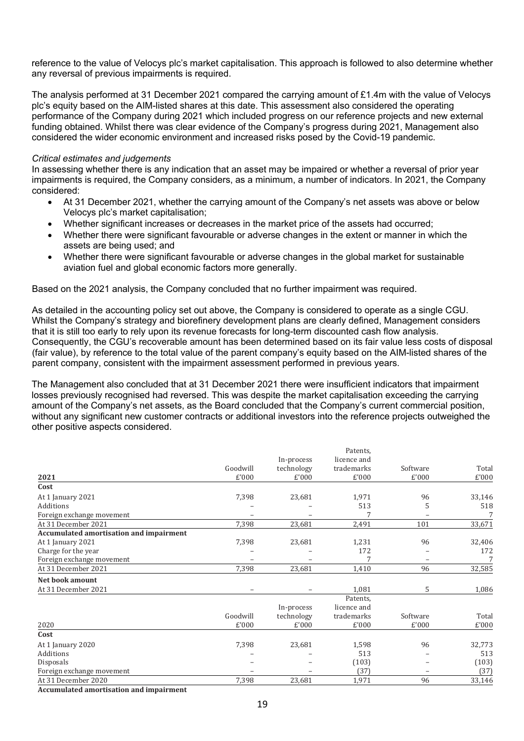reference to the value of Velocys plc's market capitalisation. This approach is followed to also determine whether any reversal of previous impairments is required.

The analysis performed at 31 December 2021 compared the carrying amount of £1.4m with the value of Velocys plc's equity based on the AIM-listed shares at this date. This assessment also considered the operating performance of the Company during 2021 which included progress on our reference projects and new external funding obtained. Whilst there was clear evidence of the Company's progress during 2021, Management also considered the wider economic environment and increased risks posed by the Covid-19 pandemic.

#### *Critical estimates and judgements*

In assessing whether there is any indication that an asset may be impaired or whether a reversal of prior year impairments is required, the Company considers, as a minimum, a number of indicators. In 2021, the Company considered:

- At 31 December 2021, whether the carrying amount of the Company's net assets was above or below Velocys plc's market capitalisation;
- Whether significant increases or decreases in the market price of the assets had occurred;
- Whether there were significant favourable or adverse changes in the extent or manner in which the assets are being used; and
- Whether there were significant favourable or adverse changes in the global market for sustainable aviation fuel and global economic factors more generally.

Based on the 2021 analysis, the Company concluded that no further impairment was required.

As detailed in the accounting policy set out above, the Company is considered to operate as a single CGU. Whilst the Company's strategy and biorefinery development plans are clearly defined, Management considers that it is still too early to rely upon its revenue forecasts for long-term discounted cash flow analysis. Consequently, the CGU's recoverable amount has been determined based on its fair value less costs of disposal (fair value), by reference to the total value of the parent company's equity based on the AIM-listed shares of the parent company, consistent with the impairment assessment performed in previous years.

The Management also concluded that at 31 December 2021 there were insufficient indicators that impairment losses previously recognised had reversed. This was despite the market capitalisation exceeding the carrying amount of the Company's net assets, as the Board concluded that the Company's current commercial position, without any significant new customer contracts or additional investors into the reference projects outweighed the other positive aspects considered.

|                                                |          |            | Patents,    |          |        |
|------------------------------------------------|----------|------------|-------------|----------|--------|
|                                                |          | In-process | licence and |          |        |
|                                                | Goodwill | technology | trademarks  | Software | Total  |
| 2021                                           | £'000    | £'000      | £'000       | £'000    | £'000  |
| Cost                                           |          |            |             |          |        |
| At 1 January 2021                              | 7,398    | 23,681     | 1,971       | 96       | 33,146 |
| Additions                                      |          |            | 513         | 5        | 518    |
| Foreign exchange movement                      |          |            |             |          | 7      |
| At 31 December 2021                            | 7,398    | 23,681     | 2,491       | 101      | 33,671 |
| <b>Accumulated amortisation and impairment</b> |          |            |             |          |        |
| At 1 January 2021                              | 7,398    | 23,681     | 1,231       | 96       | 32,406 |
| Charge for the year                            |          |            | 172         |          | 172    |
| Foreign exchange movement                      |          |            |             |          |        |
| At 31 December 2021                            | 7,398    | 23,681     | 1,410       | 96       | 32,585 |
| Net book amount                                |          |            |             |          |        |
| At 31 December 2021                            |          |            | 1,081       | 5        | 1,086  |
|                                                |          |            | Patents,    |          |        |
|                                                |          | In-process | licence and |          |        |
|                                                | Goodwill | technology | trademarks  | Software | Total  |
| 2020                                           | £'000    | £'000      | £'000       | £'000    | £'000  |
| Cost                                           |          |            |             |          |        |
| At 1 January 2020                              | 7,398    | 23,681     | 1,598       | 96       | 32,773 |
| Additions                                      |          |            | 513         |          | 513    |
| Disposals                                      |          |            | (103)       |          | (103)  |
| Foreign exchange movement                      |          |            | (37)        |          | (37)   |
| At 31 December 2020<br>$\sim$ $\sim$           | 7,398    | 23,681     | 1,971       | 96       | 33,146 |

**Accumulated amortisation and impairment**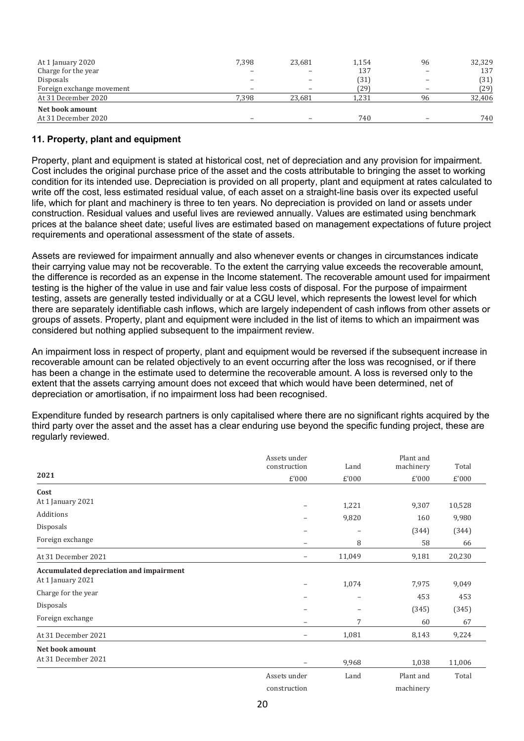| At 1 January 2020         | 7,398 | 23,681 | 1,154 | 96 | 32,329 |
|---------------------------|-------|--------|-------|----|--------|
| Charge for the year       |       |        | 137   |    | 137    |
| Disposals                 |       |        | (31)  |    | (31)   |
| Foreign exchange movement |       |        | 79)   |    | (29)   |
| At 31 December 2020       | 7.398 | 23.681 | 1.231 | 96 | 32,406 |
| Net book amount           |       |        |       |    |        |
| At 31 December 2020       |       |        | 740   |    | 740    |

# **11. Property, plant and equipment**

Property, plant and equipment is stated at historical cost, net of depreciation and any provision for impairment. Cost includes the original purchase price of the asset and the costs attributable to bringing the asset to working condition for its intended use. Depreciation is provided on all property, plant and equipment at rates calculated to write off the cost, less estimated residual value, of each asset on a straight-line basis over its expected useful life, which for plant and machinery is three to ten years. No depreciation is provided on land or assets under construction. Residual values and useful lives are reviewed annually. Values are estimated using benchmark prices at the balance sheet date; useful lives are estimated based on management expectations of future project requirements and operational assessment of the state of assets.

Assets are reviewed for impairment annually and also whenever events or changes in circumstances indicate their carrying value may not be recoverable. To the extent the carrying value exceeds the recoverable amount, the difference is recorded as an expense in the Income statement. The recoverable amount used for impairment testing is the higher of the value in use and fair value less costs of disposal. For the purpose of impairment testing, assets are generally tested individually or at a CGU level, which represents the lowest level for which there are separately identifiable cash inflows, which are largely independent of cash inflows from other assets or groups of assets. Property, plant and equipment were included in the list of items to which an impairment was considered but nothing applied subsequent to the impairment review.

An impairment loss in respect of property, plant and equipment would be reversed if the subsequent increase in recoverable amount can be related objectively to an event occurring after the loss was recognised, or if there has been a change in the estimate used to determine the recoverable amount. A loss is reversed only to the extent that the assets carrying amount does not exceed that which would have been determined, net of depreciation or amortisation, if no impairment loss had been recognised.

Expenditure funded by research partners is only capitalised where there are no significant rights acquired by the third party over the asset and the asset has a clear enduring use beyond the specific funding project, these are regularly reviewed.

|                                         | Assets under<br>construction | Land                     | Plant and<br>machinery | Total  |
|-----------------------------------------|------------------------------|--------------------------|------------------------|--------|
| 2021                                    | £'000                        | £'000                    | £'000                  | £'000  |
| Cost                                    |                              |                          |                        |        |
| At 1 January 2021                       | $\qquad \qquad -$            | 1,221                    | 9,307                  | 10,528 |
| Additions                               |                              | 9,820                    | 160                    | 9,980  |
| Disposals                               | $\overline{\phantom{0}}$     | $\qquad \qquad -$        | (344)                  | (344)  |
| Foreign exchange                        | $\overline{\phantom{0}}$     | 8                        | 58                     | 66     |
| At 31 December 2021                     | $\qquad \qquad -$            | 11,049                   | 9,181                  | 20,230 |
| Accumulated depreciation and impairment |                              |                          |                        |        |
| At 1 January 2021                       | $\overline{\phantom{m}}$     | 1,074                    | 7,975                  | 9,049  |
| Charge for the year                     |                              | $\overline{\phantom{0}}$ | 453                    | 453    |
| Disposals                               | $\overline{\phantom{0}}$     |                          | (345)                  | (345)  |
| Foreign exchange                        | $\overline{\phantom{0}}$     | 7                        | 60                     | 67     |
| At 31 December 2021                     | $\qquad \qquad -$            | 1,081                    | 8,143                  | 9,224  |
| Net book amount                         |                              |                          |                        |        |
| At 31 December 2021                     |                              | 9,968                    | 1,038                  | 11,006 |
|                                         | Assets under                 | Land                     | Plant and              | Total  |
|                                         | construction                 |                          | machinery              |        |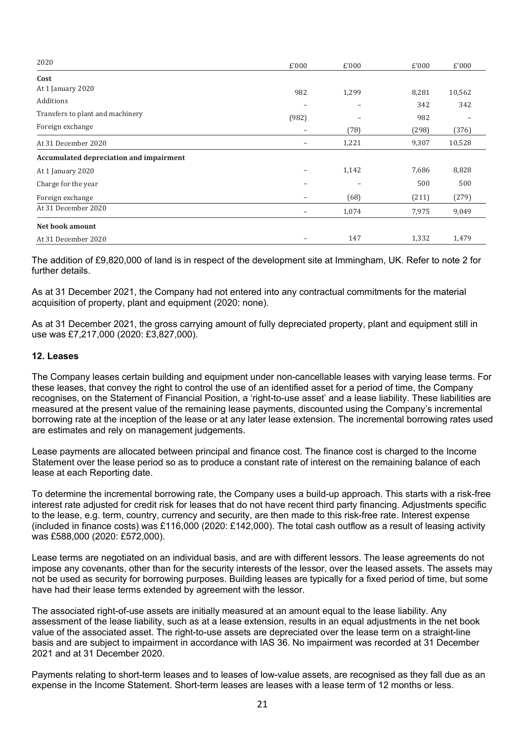| 2020                                    | £'000                    | £'000 | £'000 | £'000  |
|-----------------------------------------|--------------------------|-------|-------|--------|
| Cost                                    |                          |       |       |        |
| At 1 January 2020                       | 982                      | 1,299 | 8,281 | 10,562 |
| Additions                               | $\overline{\phantom{m}}$ |       | 342   | 342    |
| Transfers to plant and machinery        | (982)                    |       | 982   |        |
| Foreign exchange                        | $\qquad \qquad$          | (78)  | (298) | (376)  |
| At 31 December 2020                     |                          | 1,221 | 9,307 | 10,528 |
| Accumulated depreciation and impairment |                          |       |       |        |
| At 1 January 2020                       |                          | 1,142 | 7,686 | 8,828  |
| Charge for the year                     |                          |       | 500   | 500    |
| Foreign exchange                        | -                        | (68)  | (211) | (279)  |
| At 31 December 2020                     | $\overline{\phantom{0}}$ | 1,074 | 7,975 | 9,049  |
| Net book amount                         |                          |       |       |        |
| At 31 December 2020                     |                          | 147   | 1,332 | 1,479  |

The addition of £9,820,000 of land is in respect of the development site at Immingham, UK. Refer to note 2 for further details.

As at 31 December 2021, the Company had not entered into any contractual commitments for the material acquisition of property, plant and equipment (2020: none).

As at 31 December 2021, the gross carrying amount of fully depreciated property, plant and equipment still in use was £7,217,000 (2020: £3,827,000).

#### **12. Leases**

The Company leases certain building and equipment under non-cancellable leases with varying lease terms. For these leases, that convey the right to control the use of an identified asset for a period of time, the Company recognises, on the Statement of Financial Position, a 'right-to-use asset' and a lease liability. These liabilities are measured at the present value of the remaining lease payments, discounted using the Company's incremental borrowing rate at the inception of the lease or at any later lease extension. The incremental borrowing rates used are estimates and rely on management judgements.

Lease payments are allocated between principal and finance cost. The finance cost is charged to the Income Statement over the lease period so as to produce a constant rate of interest on the remaining balance of each lease at each Reporting date.

To determine the incremental borrowing rate, the Company uses a build-up approach. This starts with a risk-free interest rate adjusted for credit risk for leases that do not have recent third party financing. Adjustments specific to the lease, e.g. term, country, currency and security, are then made to this risk-free rate. Interest expense (included in finance costs) was £116,000 (2020: £142,000). The total cash outflow as a result of leasing activity was £588,000 (2020: £572,000).

Lease terms are negotiated on an individual basis, and are with different lessors. The lease agreements do not impose any covenants, other than for the security interests of the lessor, over the leased assets. The assets may not be used as security for borrowing purposes. Building leases are typically for a fixed period of time, but some have had their lease terms extended by agreement with the lessor.

The associated right-of-use assets are initially measured at an amount equal to the lease liability. Any assessment of the lease liability, such as at a lease extension, results in an equal adjustments in the net book value of the associated asset. The right-to-use assets are depreciated over the lease term on a straight-line basis and are subject to impairment in accordance with IAS 36. No impairment was recorded at 31 December 2021 and at 31 December 2020.

Payments relating to short-term leases and to leases of low-value assets, are recognised as they fall due as an expense in the Income Statement. Short-term leases are leases with a lease term of 12 months or less.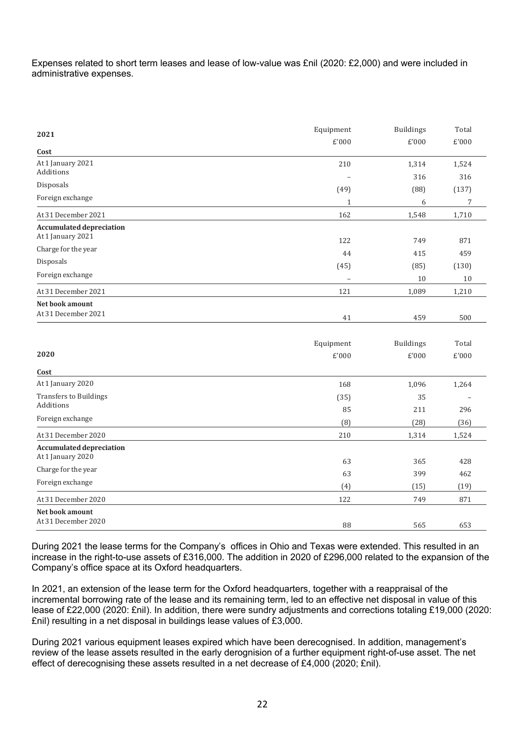Expenses related to short term leases and lease of low-value was £nil (2020: £2,000) and were included in administrative expenses.

| 2021                                                 | Equipment    | <b>Buildings</b> | Total        |
|------------------------------------------------------|--------------|------------------|--------------|
|                                                      | £'000        | £'000            | £'000        |
| Cost                                                 |              |                  |              |
| At 1 January 2021<br>Additions                       | 210          | 1,314<br>316     | 1,524<br>316 |
| Disposals                                            | (49)         | (88)             | (137)        |
| Foreign exchange                                     | $\mathbf{1}$ | 6                | 7            |
| At 31 December 2021                                  | 162          | 1,548            | 1,710        |
| <b>Accumulated depreciation</b><br>At 1 January 2021 | 122          | 749              | 871          |
| Charge for the year                                  | 44           | 415              | 459          |
| Disposals                                            | (45)         | (85)             | (130)        |
| Foreign exchange                                     |              | $10\,$           | $10\,$       |
| At 31 December 2021                                  | 121          | 1,089            | 1,210        |
| Net book amount<br>At 31 December 2021               | 41           | 459              | 500          |
|                                                      |              |                  |              |
|                                                      |              |                  |              |
|                                                      | Equipment    | <b>Buildings</b> | Total        |
| 2020                                                 | £'000        | £'000            | £'000        |
| Cost                                                 |              |                  |              |
| At 1 January 2020                                    | 168          | 1,096            | 1,264        |
| <b>Transfers to Buildings</b>                        | (35)         | 35               |              |
| Additions                                            | 85           | 211              | 296          |
| Foreign exchange                                     | (8)          | (28)             | (36)         |
| At 31 December 2020                                  | 210          | 1,314            | 1,524        |
| <b>Accumulated depreciation</b>                      |              |                  |              |
| At 1 January 2020                                    | 63           | 365              | 428          |
| Charge for the year                                  | 63           | 399              | 462          |
| Foreign exchange                                     | (4)          | (15)             | (19)         |
| At 31 December 2020                                  | 122          | 749              | 871          |
| Net book amount                                      |              |                  |              |
| At 31 December 2020                                  | 88           | 565              | 653          |

During 2021 the lease terms for the Company's offices in Ohio and Texas were extended. This resulted in an increase in the right-to-use assets of £316,000. The addition in 2020 of £296,000 related to the expansion of the Company's office space at its Oxford headquarters.

In 2021, an extension of the lease term for the Oxford headquarters, together with a reappraisal of the incremental borrowing rate of the lease and its remaining term, led to an effective net disposal in value of this lease of £22,000 (2020: £nil). In addition, there were sundry adjustments and corrections totaling £19,000 (2020: £nil) resulting in a net disposal in buildings lease values of £3,000.

During 2021 various equipment leases expired which have been derecognised. In addition, management's review of the lease assets resulted in the early derognision of a further equipment right-of-use asset. The net effect of derecognising these assets resulted in a net decrease of £4,000 (2020; £nil).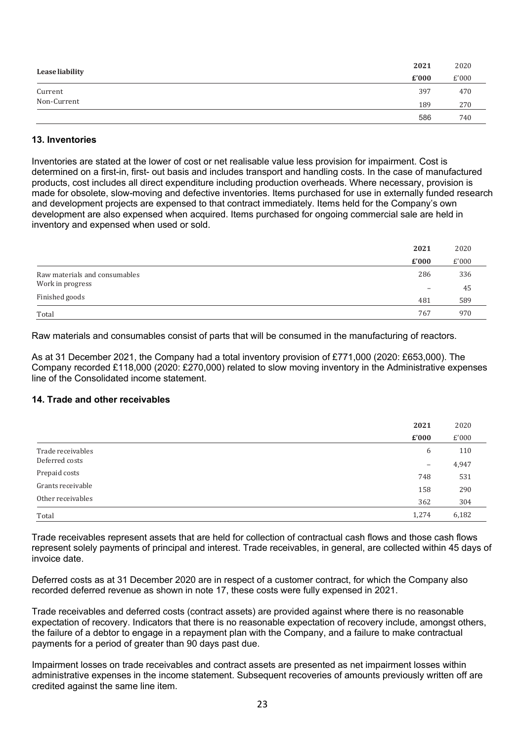| Lease liability | 2021  | 2020  |
|-----------------|-------|-------|
|                 | £'000 | £'000 |
| Current         | 397   | 470   |
| Non-Current     | 189   | 270   |
|                 | 586   | 740   |

# **13. Inventories**

Inventories are stated at the lower of cost or net realisable value less provision for impairment. Cost is determined on a first-in, first- out basis and includes transport and handling costs. In the case of manufactured products, cost includes all direct expenditure including production overheads. Where necessary, provision is made for obsolete, slow-moving and defective inventories. Items purchased for use in externally funded research and development projects are expensed to that contract immediately. Items held for the Company's own development are also expensed when acquired. Items purchased for ongoing commercial sale are held in inventory and expensed when used or sold.

|                               | 2021                     | 2020  |
|-------------------------------|--------------------------|-------|
|                               | £'000                    | £'000 |
| Raw materials and consumables | 286                      | 336   |
| Work in progress              | $\overline{\phantom{0}}$ | 45    |
| Finished goods                | 481                      | 589   |
| Total                         | 767                      | 970   |

Raw materials and consumables consist of parts that will be consumed in the manufacturing of reactors.

As at 31 December 2021, the Company had a total inventory provision of £771,000 (2020: £653,000). The Company recorded £118,000 (2020: £270,000) related to slow moving inventory in the Administrative expenses line of the Consolidated income statement.

# **14. Trade and other receivables**

|                   | 2021                           | 2020  |
|-------------------|--------------------------------|-------|
|                   | $\boldsymbol{\mathsf{E}}'$ 000 | £'000 |
| Trade receivables | 6                              | 110   |
| Deferred costs    | $\qquad \qquad -$              | 4,947 |
| Prepaid costs     | 748                            | 531   |
| Grants receivable | 158                            | 290   |
| Other receivables | 362                            | 304   |
| Total             | 1,274                          | 6,182 |

Trade receivables represent assets that are held for collection of contractual cash flows and those cash flows represent solely payments of principal and interest. Trade receivables, in general, are collected within 45 days of invoice date.

Deferred costs as at 31 December 2020 are in respect of a customer contract, for which the Company also recorded deferred revenue as shown in note 17, these costs were fully expensed in 2021.

Trade receivables and deferred costs (contract assets) are provided against where there is no reasonable expectation of recovery. Indicators that there is no reasonable expectation of recovery include, amongst others, the failure of a debtor to engage in a repayment plan with the Company, and a failure to make contractual payments for a period of greater than 90 days past due.

Impairment losses on trade receivables and contract assets are presented as net impairment losses within administrative expenses in the income statement. Subsequent recoveries of amounts previously written off are credited against the same line item.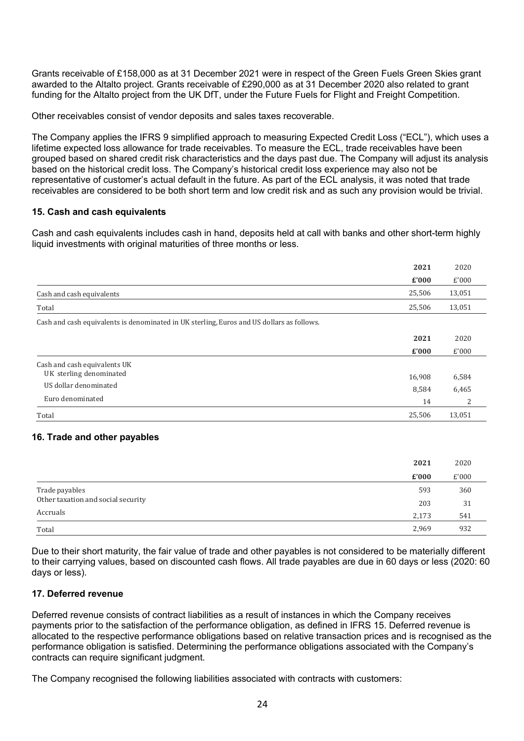Grants receivable of £158,000 as at 31 December 2021 were in respect of the Green Fuels Green Skies grant awarded to the Altalto project. Grants receivable of £290,000 as at 31 December 2020 also related to grant funding for the Altalto project from the UK DfT, under the Future Fuels for Flight and Freight Competition.

Other receivables consist of vendor deposits and sales taxes recoverable.

The Company applies the IFRS 9 simplified approach to measuring Expected Credit Loss ("ECL"), which uses a lifetime expected loss allowance for trade receivables. To measure the ECL, trade receivables have been grouped based on shared credit risk characteristics and the days past due. The Company will adjust its analysis based on the historical credit loss. The Company's historical credit loss experience may also not be representative of customer's actual default in the future. As part of the ECL analysis, it was noted that trade receivables are considered to be both short term and low credit risk and as such any provision would be trivial.

#### **15. Cash and cash equivalents**

Cash and cash equivalents includes cash in hand, deposits held at call with banks and other short-term highly liquid investments with original maturities of three months or less.

|                                                                                           | 2021   | 2020   |
|-------------------------------------------------------------------------------------------|--------|--------|
|                                                                                           | £'000  | £'000  |
| Cash and cash equivalents                                                                 | 25,506 | 13,051 |
| Total                                                                                     | 25,506 | 13,051 |
| Cash and cash equivalents is denominated in UK sterling, Euros and US dollars as follows. |        |        |
|                                                                                           | 2021   | 2020   |
|                                                                                           | £'000  | £'000  |
| Cash and cash equivalents UK                                                              |        |        |
| UK sterling denominated                                                                   | 16,908 | 6,584  |
| US dollar denominated                                                                     | 8,584  | 6,465  |
| Euro denominated                                                                          | 14     | 2      |
| Total                                                                                     | 25,506 | 13,051 |

#### **16. Trade and other payables**

|                                    | 2021  | 2020  |
|------------------------------------|-------|-------|
|                                    | £'000 | £'000 |
| Trade payables                     | 593   | 360   |
| Other taxation and social security | 203   | 31    |
| Accruals                           | 2,173 | 541   |
| Total                              | 2,969 | 932   |

Due to their short maturity, the fair value of trade and other payables is not considered to be materially different to their carrying values, based on discounted cash flows. All trade payables are due in 60 days or less (2020: 60 days or less).

#### **17. Deferred revenue**

Deferred revenue consists of contract liabilities as a result of instances in which the Company receives payments prior to the satisfaction of the performance obligation, as defined in IFRS 15. Deferred revenue is allocated to the respective performance obligations based on relative transaction prices and is recognised as the performance obligation is satisfied. Determining the performance obligations associated with the Company's contracts can require significant judgment.

The Company recognised the following liabilities associated with contracts with customers: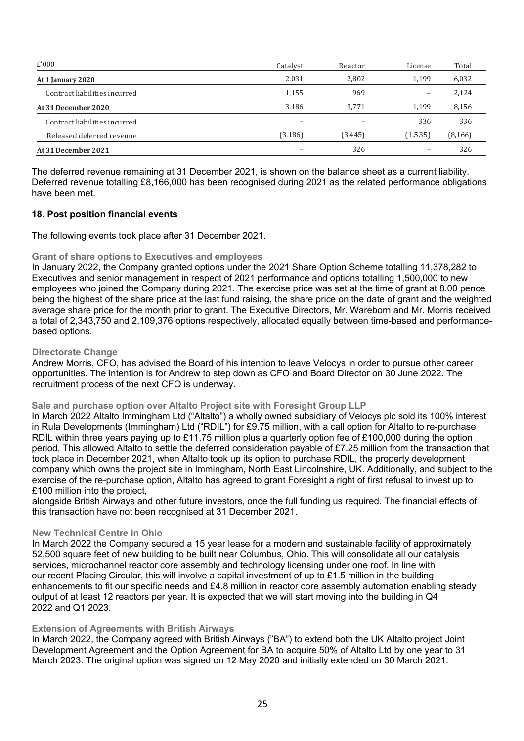| £'000                         | Catalyst | Reactor  | License | Total    |
|-------------------------------|----------|----------|---------|----------|
| At 1 January 2020             | 2,031    | 2,802    | 1.199   | 6,032    |
| Contract liabilities incurred | 1,155    | 969      |         | 2,124    |
| At 31 December 2020           | 3,186    | 3.771    | 1.199   | 8,156    |
| Contract liabilities incurred |          |          | 336     | 336      |
| Released deferred revenue     | (3, 186) | (3, 445) | (1,535) | (8, 166) |
| At 31 December 2021           |          | 326      |         | 326      |

The deferred revenue remaining at 31 December 2021, is shown on the balance sheet as a current liability. Deferred revenue totalling £8,166,000 has been recognised during 2021 as the related performance obligations have been met.

# **18. Post position financial events**

The following events took place after 31 December 2021.

#### **Grant of share options to Executives and employees**

In January 2022, the Company granted options under the 2021 Share Option Scheme totalling 11,378,282 to Executives and senior management in respect of 2021 performance and options totalling 1,500,000 to new employees who joined the Company during 2021. The exercise price was set at the time of grant at 8.00 pence being the highest of the share price at the last fund raising, the share price on the date of grant and the weighted average share price for the month prior to grant. The Executive Directors, Mr. Wareborn and Mr. Morris received a total of 2,343,750 and 2,109,376 options respectively, allocated equally between time-based and performancebased options.

#### **Directorate Change**

Andrew Morris, CFO, has advised the Board of his intention to leave Velocys in order to pursue other career opportunities. The intention is for Andrew to step down as CFO and Board Director on 30 June 2022. The recruitment process of the next CFO is underway.

#### **Sale and purchase option over Altalto Project site with Foresight Group LLP**

In March 2022 Altalto Immingham Ltd ("Altalto") a wholly owned subsidiary of Velocys plc sold its 100% interest in Rula Developments (Immingham) Ltd ("RDIL") for £9.75 million, with a call option for Altalto to re-purchase RDIL within three years paying up to £11.75 million plus a quarterly option fee of £100,000 during the option period. This allowed Altalto to settle the deferred consideration payable of £7.25 million from the transaction that took place in December 2021, when Altalto took up its option to purchase RDIL, the property development company which owns the project site in Immingham, North East Lincolnshire, UK. Additionally, and subject to the exercise of the re-purchase option, Altalto has agreed to grant Foresight a right of first refusal to invest up to £100 million into the project,

alongside British Airways and other future investors, once the full funding us required. The financial effects of this transaction have not been recognised at 31 December 2021.

#### **New Technical Centre in Ohio**

In March 2022 the Company secured a 15 year lease for a modern and sustainable facility of approximately 52,500 square feet of new building to be built near Columbus, Ohio. This will consolidate all our catalysis services, microchannel reactor core assembly and technology licensing under one roof. In line with our recent Placing Circular, this will involve a capital investment of up to  $£1.5$  million in the building enhancements to fit our specific needs and £4.8 million in reactor core assembly automation enabling steady output of at least 12 reactors per year. It is expected that we will start moving into the building in Q4 2022 and Q1 2023.

#### **Extension of Agreements with British Airways**

In March 2022, the Company agreed with British Airways ("BA") to extend both the UK Altalto project Joint Development Agreement and the Option Agreement for BA to acquire 50% of Altalto Ltd by one year to 31 March 2023. The original option was signed on 12 May 2020 and initially extended on 30 March 2021.